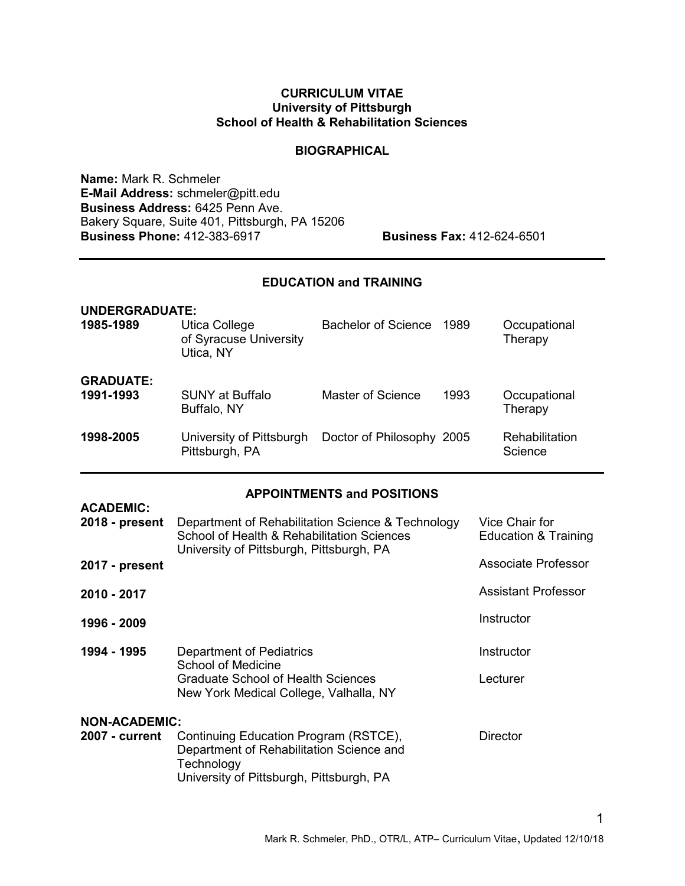#### CURRICULUM VITAE University of Pittsburgh School of Health & Rehabilitation Sciences

#### **BIOGRAPHICAL**

Name: Mark R. Schmeler E-Mail Address: schmeler@pitt.edu Business Address: 6425 Penn Ave. Bakery Square, Suite 401, Pittsburgh, PA 15206 **Business Phone:** 412-383-6917 **Business Fax:** 412-624-6501

### EDUCATION and TRAINING

| <b>UNDERGRADUATE:</b><br>1985-1989 | Utica College<br>of Syracuse University<br>Utica, NY | Bachelor of Science       | 1989 | Occupational<br>Therapy   |
|------------------------------------|------------------------------------------------------|---------------------------|------|---------------------------|
| <b>GRADUATE:</b><br>1991-1993      | <b>SUNY at Buffalo</b><br>Buffalo, NY                | Master of Science         | 1993 | Occupational<br>Therapy   |
| 1998-2005                          | University of Pittsburgh<br>Pittsburgh, PA           | Doctor of Philosophy 2005 |      | Rehabilitation<br>Science |

#### APPOINTMENTS and POSITIONS

| <b>ACADEMIC:</b><br>2018 - present            | Department of Rehabilitation Science & Technology<br>School of Health & Rehabilitation Sciences<br>University of Pittsburgh, Pittsburgh, PA | Vice Chair for<br>Education & Training |
|-----------------------------------------------|---------------------------------------------------------------------------------------------------------------------------------------------|----------------------------------------|
| 2017 - present                                |                                                                                                                                             | <b>Associate Professor</b>             |
| 2010 - 2017                                   |                                                                                                                                             | Assistant Professor                    |
| 1996 - 2009                                   |                                                                                                                                             | Instructor                             |
| 1994 - 1995                                   | Department of Pediatrics<br>School of Medicine<br>Graduate School of Health Sciences<br>New York Medical College, Valhalla, NY              | Instructor<br>Lecturer                 |
| <b>NON-ACADEMIC:</b><br><b>2007 - current</b> | Continuing Education Program (RSTCE),<br>Department of Rehabilitation Science and<br>Technology<br>University of Pittsburgh, Pittsburgh, PA | Director                               |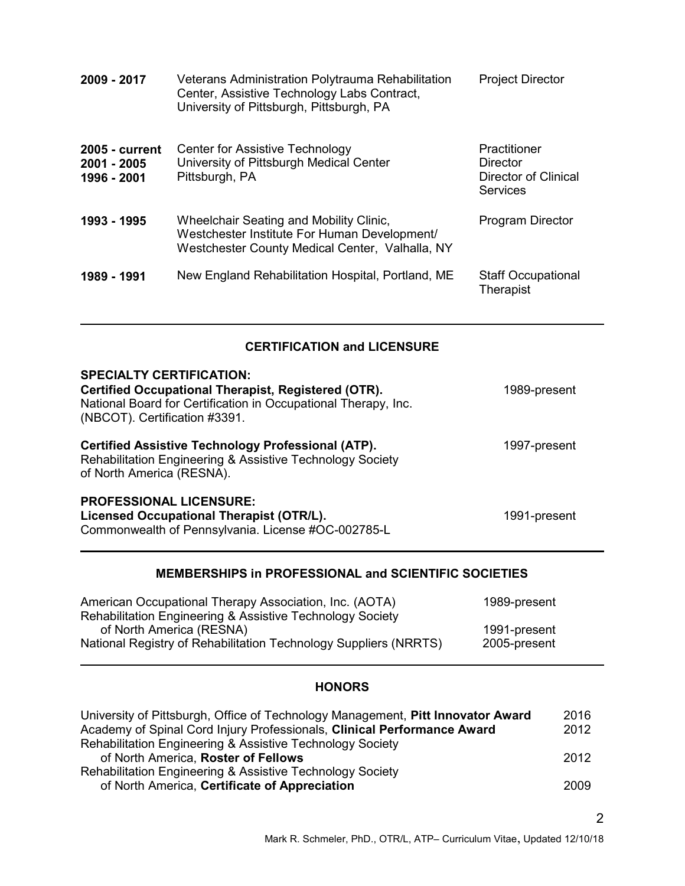| 2009 - 2017                                         | Veterans Administration Polytrauma Rehabilitation<br>Center, Assistive Technology Labs Contract,<br>University of Pittsburgh, Pittsburgh, PA      | <b>Project Director</b>                                             |
|-----------------------------------------------------|---------------------------------------------------------------------------------------------------------------------------------------------------|---------------------------------------------------------------------|
| <b>2005 - current</b><br>2001 - 2005<br>1996 - 2001 | Center for Assistive Technology<br>University of Pittsburgh Medical Center<br>Pittsburgh, PA                                                      | Practitioner<br>Director<br>Director of Clinical<br><b>Services</b> |
| 1993 - 1995                                         | <b>Wheelchair Seating and Mobility Clinic,</b><br>Westchester Institute For Human Development/<br>Westchester County Medical Center, Valhalla, NY | <b>Program Director</b>                                             |
| 1989 - 1991                                         | New England Rehabilitation Hospital, Portland, ME                                                                                                 | <b>Staff Occupational</b><br><b>Therapist</b>                       |

# CERTIFICATION and LICENSURE

l

| <b>SPECIALTY CERTIFICATION:</b><br>Certified Occupational Therapist, Registered (OTR).<br>National Board for Certification in Occupational Therapy, Inc.<br>(NBCOT). Certification #3391. | 1989-present |
|-------------------------------------------------------------------------------------------------------------------------------------------------------------------------------------------|--------------|
| <b>Certified Assistive Technology Professional (ATP).</b><br>Rehabilitation Engineering & Assistive Technology Society<br>of North America (RESNA).                                       | 1997-present |
| <b>PROFESSIONAL LICENSURE:</b><br>Licensed Occupational Therapist (OTR/L).<br>Commonwealth of Pennsylvania. License #OC-002785-L                                                          | 1991-present |

# MEMBERSHIPS in PROFESSIONAL and SCIENTIFIC SOCIETIES

| American Occupational Therapy Association, Inc. (AOTA)           | 1989-present |
|------------------------------------------------------------------|--------------|
| Rehabilitation Engineering & Assistive Technology Society        |              |
| of North America (RESNA)                                         | 1991-present |
| National Registry of Rehabilitation Technology Suppliers (NRRTS) | 2005-present |
|                                                                  |              |

# **HONORS**

| University of Pittsburgh, Office of Technology Management, Pitt Innovator Award | 2016 |
|---------------------------------------------------------------------------------|------|
| Academy of Spinal Cord Injury Professionals, Clinical Performance Award         | 2012 |
| Rehabilitation Engineering & Assistive Technology Society                       |      |
| of North America, Roster of Fellows                                             | 2012 |
| <b>Rehabilitation Engineering &amp; Assistive Technology Society</b>            |      |
| of North America, Certificate of Appreciation                                   | 2009 |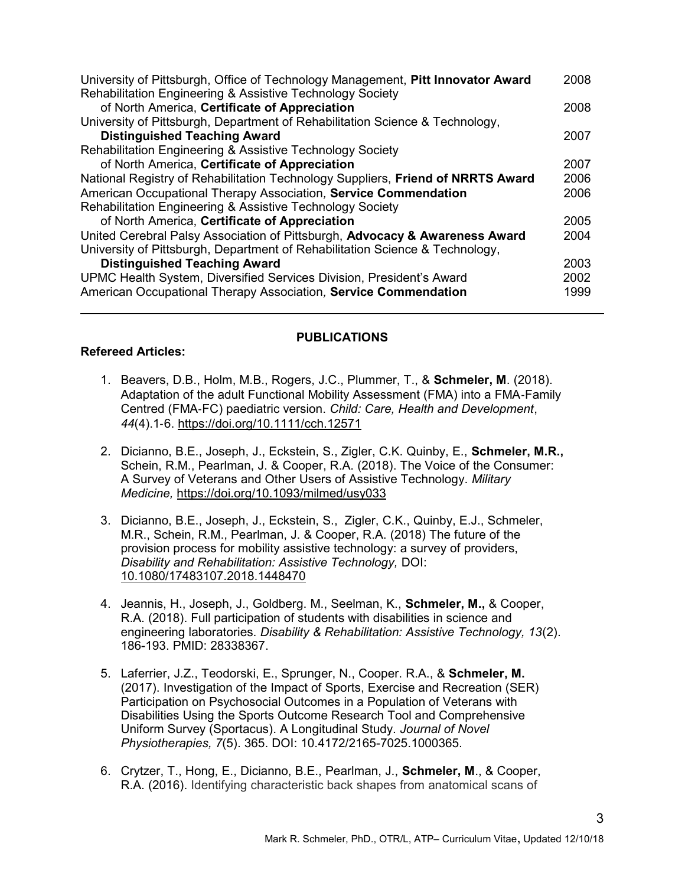| University of Pittsburgh, Office of Technology Management, Pitt Innovator Award | 2008 |
|---------------------------------------------------------------------------------|------|
| Rehabilitation Engineering & Assistive Technology Society                       |      |
| of North America, Certificate of Appreciation                                   | 2008 |
| University of Pittsburgh, Department of Rehabilitation Science & Technology,    |      |
| <b>Distinguished Teaching Award</b>                                             | 2007 |
| Rehabilitation Engineering & Assistive Technology Society                       |      |
| of North America, Certificate of Appreciation                                   | 2007 |
| National Registry of Rehabilitation Technology Suppliers, Friend of NRRTS Award | 2006 |
| American Occupational Therapy Association, Service Commendation                 | 2006 |
| Rehabilitation Engineering & Assistive Technology Society                       |      |
| of North America, Certificate of Appreciation                                   | 2005 |
| United Cerebral Palsy Association of Pittsburgh, Advocacy & Awareness Award     | 2004 |
| University of Pittsburgh, Department of Rehabilitation Science & Technology,    |      |
| <b>Distinguished Teaching Award</b>                                             | 2003 |
| UPMC Health System, Diversified Services Division, President's Award            | 2002 |
| American Occupational Therapy Association, Service Commendation                 | 1999 |
|                                                                                 |      |

## PUBLICATIONS

#### Refereed Articles:

- 1. Beavers, D.B., Holm, M.B., Rogers, J.C., Plummer, T., & Schmeler, M. (2018). Adaptation of the adult Functional Mobility Assessment (FMA) into a FMA‐Family Centred (FMA‐FC) paediatric version. Child: Care, Health and Development, 44(4).1‐6. https://doi.org/10.1111/cch.12571
- 2. Dicianno, B.E., Joseph, J., Eckstein, S., Zigler, C.K. Quinby, E., Schmeler, M.R., Schein, R.M., Pearlman, J. & Cooper, R.A. (2018). The Voice of the Consumer: A Survey of Veterans and Other Users of Assistive Technology. Military Medicine, https://doi.org/10.1093/milmed/usy033
- 3. Dicianno, B.E., Joseph, J., Eckstein, S., Zigler, C.K., Quinby, E.J., Schmeler, M.R., Schein, R.M., Pearlman, J. & Cooper, R.A. (2018) The future of the provision process for mobility assistive technology: a survey of providers, Disability and Rehabilitation: Assistive Technology, DOI: 10.1080/17483107.2018.1448470
- 4. Jeannis, H., Joseph, J., Goldberg. M., Seelman, K., Schmeler, M., & Cooper, R.A. (2018). Full participation of students with disabilities in science and engineering laboratories. Disability & Rehabilitation: Assistive Technology, 13(2). 186-193. PMID: 28338367.
- 5. Laferrier, J.Z., Teodorski, E., Sprunger, N., Cooper. R.A., & Schmeler, M. (2017). Investigation of the Impact of Sports, Exercise and Recreation (SER) Participation on Psychosocial Outcomes in a Population of Veterans with Disabilities Using the Sports Outcome Research Tool and Comprehensive Uniform Survey (Sportacus). A Longitudinal Study. Journal of Novel Physiotherapies, 7(5). 365. DOI: 10.4172/2165-7025.1000365.
- 6. Crytzer, T., Hong, E., Dicianno, B.E., Pearlman, J., Schmeler, M., & Cooper, R.A. (2016). Identifying characteristic back shapes from anatomical scans of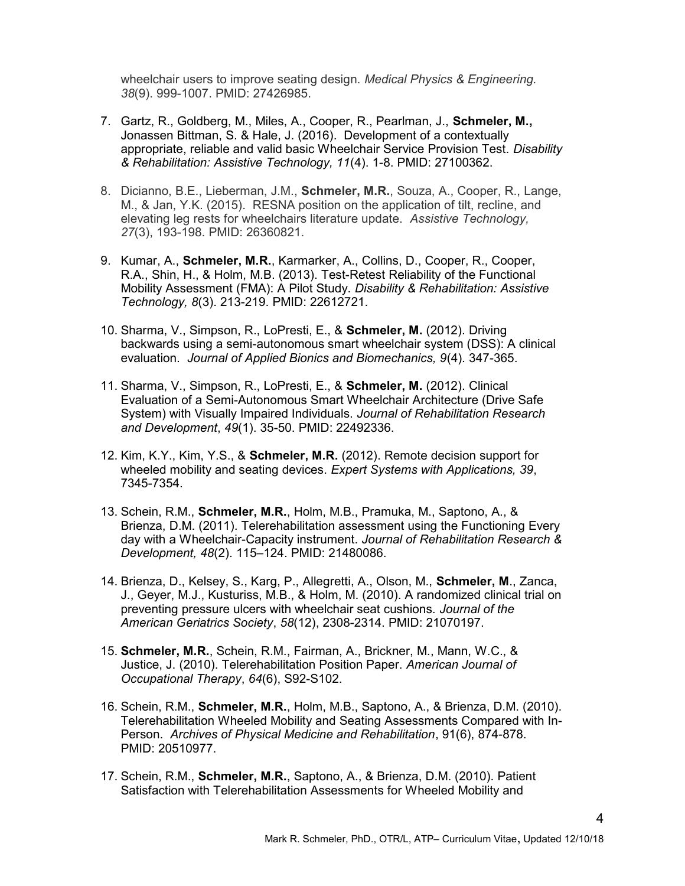wheelchair users to improve seating design. Medical Physics & Engineering. 38(9). 999-1007. PMID: 27426985.

- 7. Gartz, R., Goldberg, M., Miles, A., Cooper, R., Pearlman, J., Schmeler, M., Jonassen Bittman, S. & Hale, J. (2016). Development of a contextually appropriate, reliable and valid basic Wheelchair Service Provision Test. Disability & Rehabilitation: Assistive Technology, 11(4). 1-8. PMID: 27100362.
- 8. Dicianno, B.E., Lieberman, J.M., Schmeler, M.R., Souza, A., Cooper, R., Lange, M., & Jan, Y.K. (2015). RESNA position on the application of tilt, recline, and elevating leg rests for wheelchairs literature update. Assistive Technology, 27(3), 193-198. PMID: 26360821.
- 9. Kumar, A., Schmeler, M.R., Karmarker, A., Collins, D., Cooper, R., Cooper, R.A., Shin, H., & Holm, M.B. (2013). Test-Retest Reliability of the Functional Mobility Assessment (FMA): A Pilot Study. Disability & Rehabilitation: Assistive Technology, 8(3). 213-219. PMID: 22612721.
- 10. Sharma, V., Simpson, R., LoPresti, E., & Schmeler, M. (2012). Driving backwards using a semi-autonomous smart wheelchair system (DSS): A clinical evaluation. Journal of Applied Bionics and Biomechanics, 9(4). 347-365.
- 11. Sharma, V., Simpson, R., LoPresti, E., & Schmeler, M. (2012). Clinical Evaluation of a Semi-Autonomous Smart Wheelchair Architecture (Drive Safe System) with Visually Impaired Individuals. Journal of Rehabilitation Research and Development, 49(1). 35-50. PMID: 22492336.
- 12. Kim, K.Y., Kim, Y.S., & Schmeler, M.R. (2012). Remote decision support for wheeled mobility and seating devices. Expert Systems with Applications, 39, 7345-7354.
- 13. Schein, R.M., Schmeler, M.R., Holm, M.B., Pramuka, M., Saptono, A., & Brienza, D.M. (2011). Telerehabilitation assessment using the Functioning Every day with a Wheelchair-Capacity instrument. Journal of Rehabilitation Research & Development, 48(2). 115–124. PMID: 21480086.
- 14. Brienza, D., Kelsey, S., Karg, P., Allegretti, A., Olson, M., Schmeler, M., Zanca, J., Geyer, M.J., Kusturiss, M.B., & Holm, M. (2010). A randomized clinical trial on preventing pressure ulcers with wheelchair seat cushions. Journal of the American Geriatrics Society, 58(12), 2308-2314. PMID: 21070197.
- 15. Schmeler, M.R., Schein, R.M., Fairman, A., Brickner, M., Mann, W.C., & Justice, J. (2010). Telerehabilitation Position Paper. American Journal of Occupational Therapy, 64(6), S92-S102.
- 16. Schein, R.M., Schmeler, M.R., Holm, M.B., Saptono, A., & Brienza, D.M. (2010). Telerehabilitation Wheeled Mobility and Seating Assessments Compared with In-Person. Archives of Physical Medicine and Rehabilitation, 91(6), 874-878. PMID: 20510977.
- 17. Schein, R.M., Schmeler, M.R., Saptono, A., & Brienza, D.M. (2010). Patient Satisfaction with Telerehabilitation Assessments for Wheeled Mobility and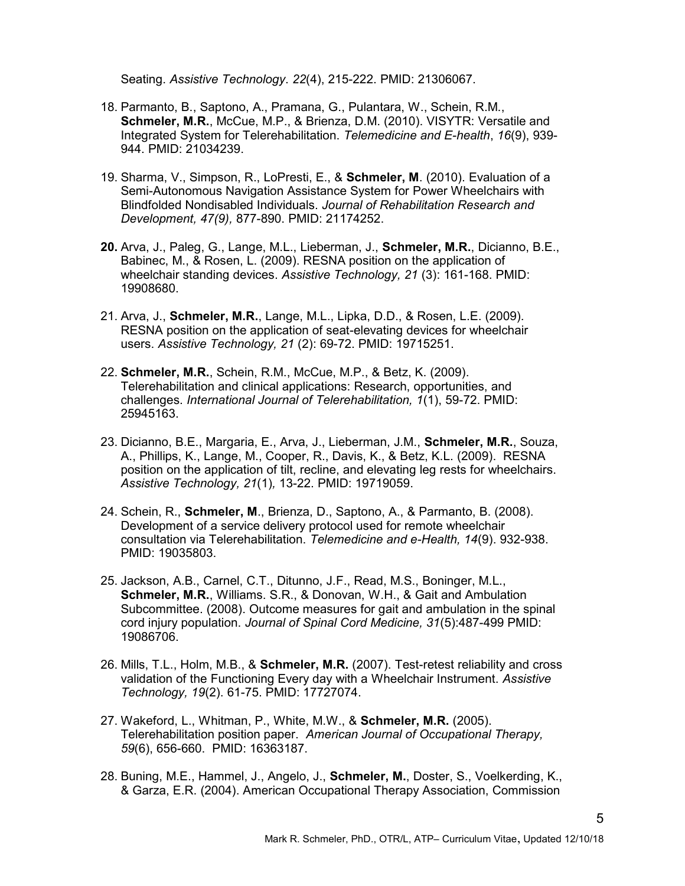Seating. Assistive Technology. 22(4), 215-222. PMID: 21306067.

- 18. Parmanto, B., Saptono, A., Pramana, G., Pulantara, W., Schein, R.M., Schmeler, M.R., McCue, M.P., & Brienza, D.M. (2010). VISYTR: Versatile and Integrated System for Telerehabilitation. Telemedicine and E-health, 16(9), 939- 944. PMID: 21034239.
- 19. Sharma, V., Simpson, R., LoPresti, E., & Schmeler, M. (2010). Evaluation of a Semi-Autonomous Navigation Assistance System for Power Wheelchairs with Blindfolded Nondisabled Individuals. Journal of Rehabilitation Research and Development, 47(9), 877-890. PMID: 21174252.
- 20. Arva, J., Paleg, G., Lange, M.L., Lieberman, J., Schmeler, M.R., Dicianno, B.E., Babinec, M., & Rosen, L. (2009). RESNA position on the application of wheelchair standing devices. Assistive Technology, 21 (3): 161-168. PMID: 19908680.
- 21. Arva, J., Schmeler, M.R., Lange, M.L., Lipka, D.D., & Rosen, L.E. (2009). RESNA position on the application of seat-elevating devices for wheelchair users. Assistive Technology, 21 (2): 69-72. PMID: 19715251.
- 22. Schmeler, M.R., Schein, R.M., McCue, M.P., & Betz, K. (2009). Telerehabilitation and clinical applications: Research, opportunities, and challenges. International Journal of Telerehabilitation, 1(1), 59-72. PMID: 25945163.
- 23. Dicianno, B.E., Margaria, E., Arva, J., Lieberman, J.M., Schmeler, M.R., Souza, A., Phillips, K., Lange, M., Cooper, R., Davis, K., & Betz, K.L. (2009). RESNA position on the application of tilt, recline, and elevating leg rests for wheelchairs. Assistive Technology, 21(1), 13-22. PMID: 19719059.
- 24. Schein, R., Schmeler, M., Brienza, D., Saptono, A., & Parmanto, B. (2008). Development of a service delivery protocol used for remote wheelchair consultation via Telerehabilitation. Telemedicine and e-Health, 14(9). 932-938. PMID: 19035803.
- 25. Jackson, A.B., Carnel, C.T., Ditunno, J.F., Read, M.S., Boninger, M.L., Schmeler, M.R., Williams. S.R., & Donovan, W.H., & Gait and Ambulation Subcommittee. (2008). Outcome measures for gait and ambulation in the spinal cord injury population. Journal of Spinal Cord Medicine, 31(5):487-499 PMID: 19086706.
- 26. Mills, T.L., Holm, M.B., & Schmeler, M.R. (2007). Test-retest reliability and cross validation of the Functioning Every day with a Wheelchair Instrument. Assistive Technology, 19(2). 61-75. PMID: 17727074.
- 27. Wakeford, L., Whitman, P., White, M.W., & Schmeler, M.R. (2005). Telerehabilitation position paper. American Journal of Occupational Therapy, 59(6), 656-660. PMID: 16363187.
- 28. Buning, M.E., Hammel, J., Angelo, J., Schmeler, M., Doster, S., Voelkerding, K., & Garza, E.R. (2004). American Occupational Therapy Association, Commission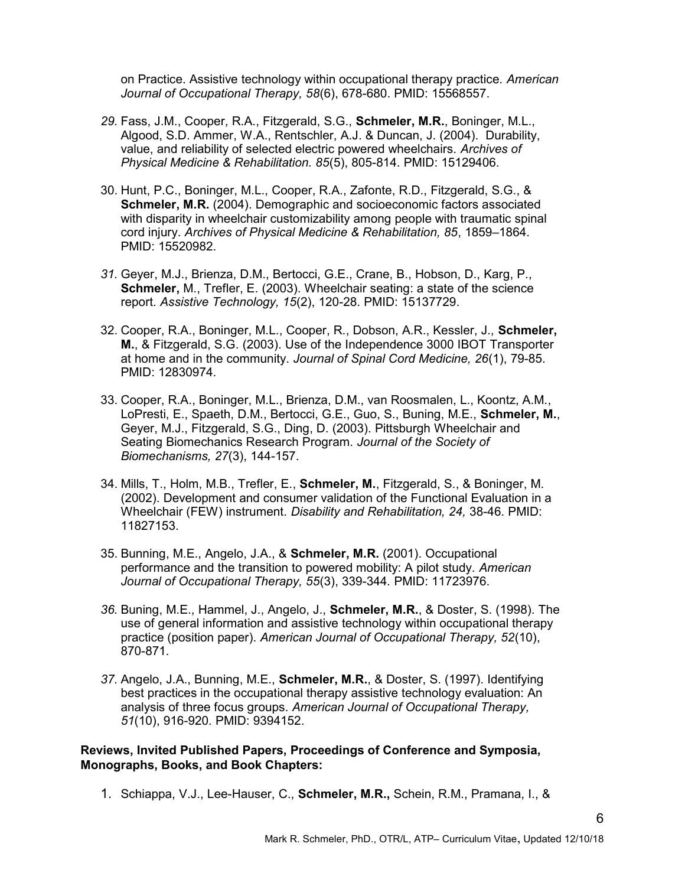on Practice. Assistive technology within occupational therapy practice. American Journal of Occupational Therapy, 58(6), 678-680. PMID: 15568557.

- 29. Fass, J.M., Cooper, R.A., Fitzgerald, S.G., Schmeler, M.R., Boninger, M.L., Algood, S.D. Ammer, W.A., Rentschler, A.J. & Duncan, J. (2004). Durability, value, and reliability of selected electric powered wheelchairs. Archives of Physical Medicine & Rehabilitation. 85(5), 805-814. PMID: 15129406.
- 30. Hunt, P.C., Boninger, M.L., Cooper, R.A., Zafonte, R.D., Fitzgerald, S.G., & Schmeler, M.R. (2004). Demographic and socioeconomic factors associated with disparity in wheelchair customizability among people with traumatic spinal cord injury. Archives of Physical Medicine & Rehabilitation, 85, 1859–1864. PMID: 15520982.
- 31. Geyer, M.J., Brienza, D.M., Bertocci, G.E., Crane, B., Hobson, D., Karg, P., Schmeler, M., Trefler, E. (2003). Wheelchair seating: a state of the science report. Assistive Technology, 15(2), 120-28. PMID: 15137729.
- 32. Cooper, R.A., Boninger, M.L., Cooper, R., Dobson, A.R., Kessler, J., Schmeler, M., & Fitzgerald, S.G. (2003). Use of the Independence 3000 IBOT Transporter at home and in the community. Journal of Spinal Cord Medicine, 26(1), 79-85. PMID: 12830974.
- 33. Cooper, R.A., Boninger, M.L., Brienza, D.M., van Roosmalen, L., Koontz, A.M., LoPresti, E., Spaeth, D.M., Bertocci, G.E., Guo, S., Buning, M.E., Schmeler, M., Geyer, M.J., Fitzgerald, S.G., Ding, D. (2003). Pittsburgh Wheelchair and Seating Biomechanics Research Program. Journal of the Society of Biomechanisms, 27(3), 144-157.
- 34. Mills, T., Holm, M.B., Trefler, E., Schmeler, M., Fitzgerald, S., & Boninger, M. (2002). Development and consumer validation of the Functional Evaluation in a Wheelchair (FEW) instrument. Disability and Rehabilitation, 24, 38-46. PMID: 11827153.
- 35. Bunning, M.E., Angelo, J.A., & Schmeler, M.R. (2001). Occupational performance and the transition to powered mobility: A pilot study. American Journal of Occupational Therapy, 55(3), 339-344. PMID: 11723976.
- 36. Buning, M.E., Hammel, J., Angelo, J., Schmeler, M.R., & Doster, S. (1998). The use of general information and assistive technology within occupational therapy practice (position paper). American Journal of Occupational Therapy, 52(10), 870-871.
- 37. Angelo, J.A., Bunning, M.E., Schmeler, M.R., & Doster, S. (1997). Identifying best practices in the occupational therapy assistive technology evaluation: An analysis of three focus groups. American Journal of Occupational Therapy, 51(10), 916-920. PMID: 9394152.

#### Reviews, Invited Published Papers, Proceedings of Conference and Symposia, Monographs, Books, and Book Chapters:

1. Schiappa, V.J., Lee-Hauser, C., Schmeler, M.R., Schein, R.M., Pramana, I., &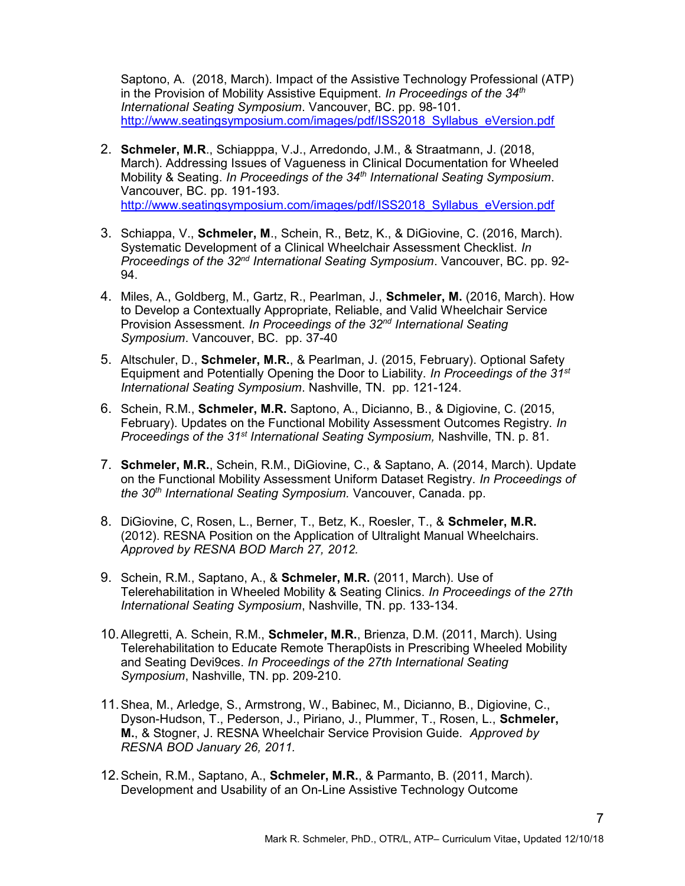Saptono, A. (2018, March). Impact of the Assistive Technology Professional (ATP) in the Provision of Mobility Assistive Equipment. In Proceedings of the  $34<sup>th</sup>$ International Seating Symposium. Vancouver, BC. pp. 98-101. http://www.seatingsymposium.com/images/pdf/ISS2018\_Syllabus\_eVersion.pdf

- 2. Schmeler, M.R., Schiapppa, V.J., Arredondo, J.M., & Straatmann, J. (2018, March). Addressing Issues of Vagueness in Clinical Documentation for Wheeled Mobility & Seating. In Proceedings of the 34<sup>th</sup> International Seating Symposium. Vancouver, BC. pp. 191-193. http://www.seatingsymposium.com/images/pdf/ISS2018\_Syllabus\_eVersion.pdf
- 3. Schiappa, V., Schmeler, M., Schein, R., Betz, K., & DiGiovine, C. (2016, March). Systematic Development of a Clinical Wheelchair Assessment Checklist. In Proceedings of the 32<sup>nd</sup> International Seating Symposium. Vancouver, BC. pp. 92-94.
- 4. Miles, A., Goldberg, M., Gartz, R., Pearlman, J., Schmeler, M. (2016, March). How to Develop a Contextually Appropriate, Reliable, and Valid Wheelchair Service Provision Assessment. In Proceedings of the 32<sup>nd</sup> International Seating Symposium. Vancouver, BC. pp. 37-40
- 5. Altschuler, D., Schmeler, M.R., & Pearlman, J. (2015, February). Optional Safety Equipment and Potentially Opening the Door to Liability. In Proceedings of the  $31^{st}$ International Seating Symposium. Nashville, TN. pp. 121-124.
- 6. Schein, R.M., Schmeler, M.R. Saptono, A., Dicianno, B., & Digiovine, C. (2015, February). Updates on the Functional Mobility Assessment Outcomes Registry. In Proceedings of the 31<sup>st</sup> International Seating Symposium, Nashville, TN. p. 81.
- 7. Schmeler, M.R., Schein, R.M., DiGiovine, C., & Saptano, A. (2014, March). Update on the Functional Mobility Assessment Uniform Dataset Registry. In Proceedings of the 30<sup>th</sup> International Seating Symposium. Vancouver, Canada. pp.
- 8. DiGiovine, C, Rosen, L., Berner, T., Betz, K., Roesler, T., & Schmeler, M.R. (2012). RESNA Position on the Application of Ultralight Manual Wheelchairs. Approved by RESNA BOD March 27, 2012.
- 9. Schein, R.M., Saptano, A., & Schmeler, M.R. (2011, March). Use of Telerehabilitation in Wheeled Mobility & Seating Clinics. In Proceedings of the 27th International Seating Symposium, Nashville, TN. pp. 133-134.
- 10. Allegretti, A. Schein, R.M., Schmeler, M.R., Brienza, D.M. (2011, March). Using Telerehabilitation to Educate Remote Therap0ists in Prescribing Wheeled Mobility and Seating Devi9ces. In Proceedings of the 27th International Seating Symposium, Nashville, TN. pp. 209-210.
- 11. Shea, M., Arledge, S., Armstrong, W., Babinec, M., Dicianno, B., Digiovine, C., Dyson-Hudson, T., Pederson, J., Piriano, J., Plummer, T., Rosen, L., Schmeler, M., & Stogner, J. RESNA Wheelchair Service Provision Guide. Approved by RESNA BOD January 26, 2011.
- 12. Schein, R.M., Saptano, A., Schmeler, M.R., & Parmanto, B. (2011, March). Development and Usability of an On-Line Assistive Technology Outcome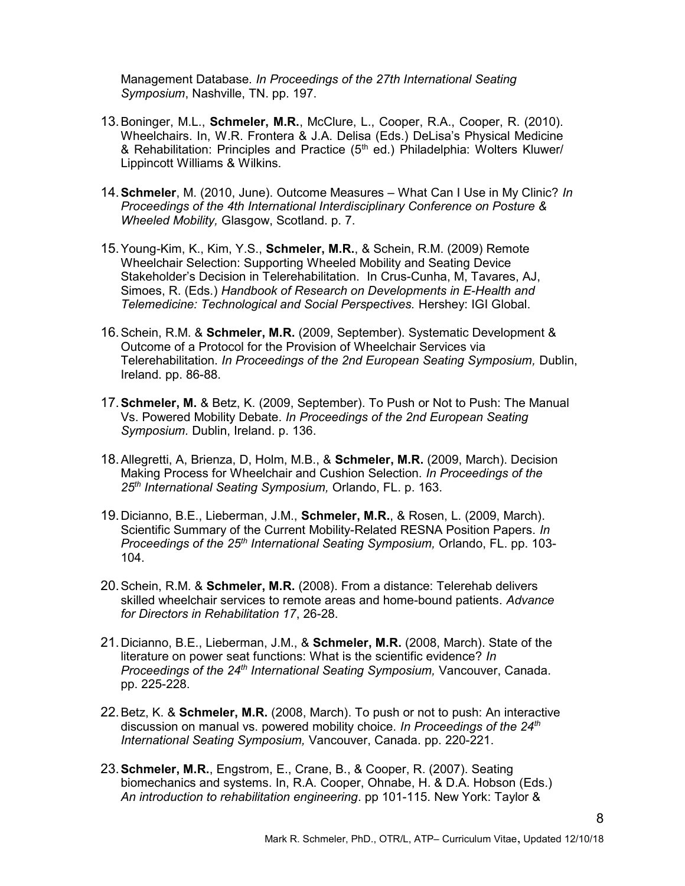Management Database. In Proceedings of the 27th International Seating Symposium, Nashville, TN. pp. 197.

- 13. Boninger, M.L., Schmeler, M.R., McClure, L., Cooper, R.A., Cooper, R. (2010). Wheelchairs. In, W.R. Frontera & J.A. Delisa (Eds.) DeLisa's Physical Medicine & Rehabilitation: Principles and Practice  $(5<sup>th</sup>$  ed.) Philadelphia: Wolters Kluwer/ Lippincott Williams & Wilkins.
- 14. Schmeler, M. (2010, June). Outcome Measures What Can I Use in My Clinic? In Proceedings of the 4th International Interdisciplinary Conference on Posture & Wheeled Mobility, Glasgow, Scotland. p. 7.
- 15. Young-Kim, K., Kim, Y.S., Schmeler, M.R., & Schein, R.M. (2009) Remote Wheelchair Selection: Supporting Wheeled Mobility and Seating Device Stakeholder's Decision in Telerehabilitation. In Crus-Cunha, M, Tavares, AJ, Simoes, R. (Eds.) Handbook of Research on Developments in E-Health and Telemedicine: Technological and Social Perspectives. Hershey: IGI Global.
- 16. Schein, R.M. & Schmeler, M.R. (2009, September). Systematic Development & Outcome of a Protocol for the Provision of Wheelchair Services via Telerehabilitation. In Proceedings of the 2nd European Seating Symposium, Dublin, Ireland. pp. 86-88.
- 17. Schmeler, M. & Betz, K. (2009, September). To Push or Not to Push: The Manual Vs. Powered Mobility Debate. In Proceedings of the 2nd European Seating Symposium. Dublin, Ireland. p. 136.
- 18. Allegretti, A, Brienza, D, Holm, M.B., & Schmeler, M.R. (2009, March). Decision Making Process for Wheelchair and Cushion Selection. In Proceedings of the 25<sup>th</sup> International Seating Symposium, Orlando, FL, p. 163.
- 19. Dicianno, B.E., Lieberman, J.M., Schmeler, M.R., & Rosen, L. (2009, March). Scientific Summary of the Current Mobility-Related RESNA Position Papers. In Proceedings of the  $25<sup>th</sup>$  International Seating Symposium, Orlando, FL. pp. 103-104.
- 20. Schein, R.M. & Schmeler, M.R. (2008). From a distance: Telerehab delivers skilled wheelchair services to remote areas and home-bound patients. Advance for Directors in Rehabilitation 17, 26-28.
- 21. Dicianno, B.E., Lieberman, J.M., & Schmeler, M.R. (2008, March). State of the literature on power seat functions: What is the scientific evidence? In Proceedings of the  $24<sup>th</sup>$  International Seating Symposium, Vancouver, Canada. pp. 225-228.
- 22. Betz, K. & Schmeler, M.R. (2008, March). To push or not to push: An interactive discussion on manual vs. powered mobility choice. In Proceedings of the  $24<sup>th</sup>$ International Seating Symposium, Vancouver, Canada. pp. 220-221.
- 23. Schmeler, M.R., Engstrom, E., Crane, B., & Cooper, R. (2007). Seating biomechanics and systems. In, R.A. Cooper, Ohnabe, H. & D.A. Hobson (Eds.) An introduction to rehabilitation engineering. pp 101-115. New York: Taylor &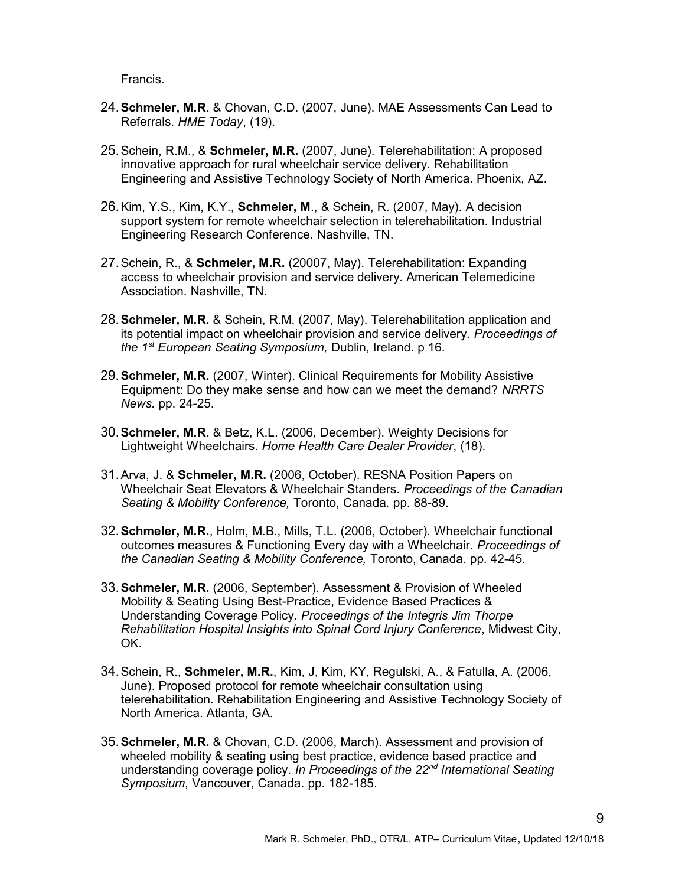Francis.

- 24. Schmeler, M.R. & Chovan, C.D. (2007, June). MAE Assessments Can Lead to Referrals. HME Today, (19).
- 25. Schein, R.M., & Schmeler, M.R. (2007, June). Telerehabilitation: A proposed innovative approach for rural wheelchair service delivery. Rehabilitation Engineering and Assistive Technology Society of North America. Phoenix, AZ.
- 26. Kim, Y.S., Kim, K.Y., Schmeler, M., & Schein, R. (2007, May). A decision support system for remote wheelchair selection in telerehabilitation. Industrial Engineering Research Conference. Nashville, TN.
- 27. Schein, R., & Schmeler, M.R. (20007, May). Telerehabilitation: Expanding access to wheelchair provision and service delivery. American Telemedicine Association. Nashville, TN.
- 28. Schmeler, M.R. & Schein, R.M. (2007, May). Telerehabilitation application and its potential impact on wheelchair provision and service delivery. Proceedings of the 1<sup>st</sup> European Seating Symposium, Dublin, Ireland. p 16.
- 29. Schmeler, M.R. (2007, Winter). Clinical Requirements for Mobility Assistive Equipment: Do they make sense and how can we meet the demand? NRRTS News. pp. 24-25.
- 30. Schmeler, M.R. & Betz, K.L. (2006, December). Weighty Decisions for Lightweight Wheelchairs. Home Health Care Dealer Provider, (18).
- 31. Arva, J. & Schmeler, M.R. (2006, October). RESNA Position Papers on Wheelchair Seat Elevators & Wheelchair Standers. Proceedings of the Canadian Seating & Mobility Conference, Toronto, Canada. pp. 88-89.
- 32. Schmeler, M.R., Holm, M.B., Mills, T.L. (2006, October). Wheelchair functional outcomes measures & Functioning Every day with a Wheelchair. Proceedings of the Canadian Seating & Mobility Conference, Toronto, Canada. pp. 42-45.
- 33. Schmeler, M.R. (2006, September). Assessment & Provision of Wheeled Mobility & Seating Using Best-Practice, Evidence Based Practices & Understanding Coverage Policy. Proceedings of the Integris Jim Thorpe Rehabilitation Hospital Insights into Spinal Cord Injury Conference, Midwest City, OK.
- 34. Schein, R., Schmeler, M.R., Kim, J, Kim, KY, Regulski, A., & Fatulla, A. (2006, June). Proposed protocol for remote wheelchair consultation using telerehabilitation. Rehabilitation Engineering and Assistive Technology Society of North America. Atlanta, GA.
- 35. Schmeler, M.R. & Chovan, C.D. (2006, March). Assessment and provision of wheeled mobility & seating using best practice, evidence based practice and understanding coverage policy. In Proceedings of the 22<sup>nd</sup> International Seating Symposium, Vancouver, Canada. pp. 182-185.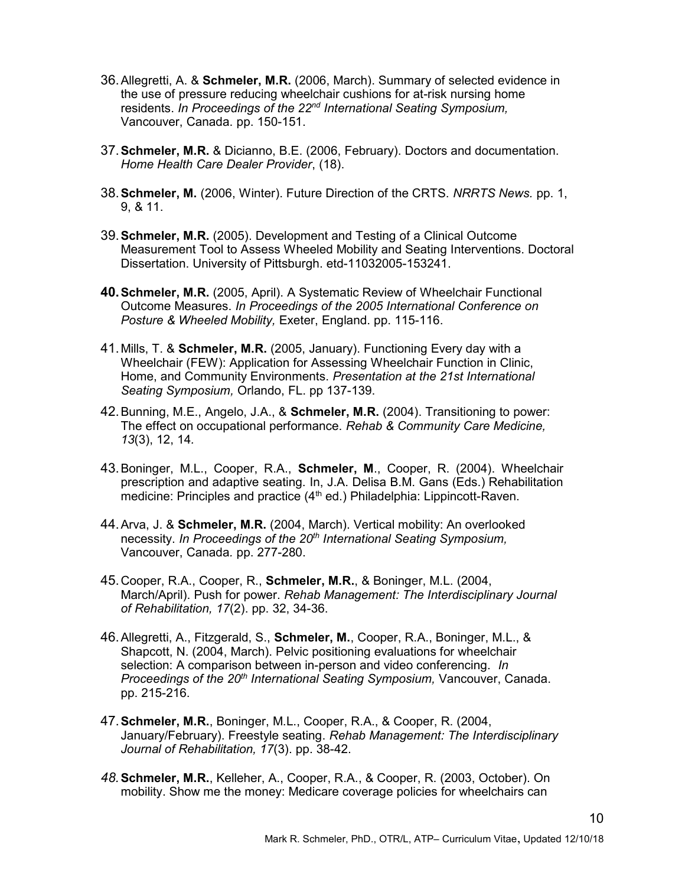- 36. Allegretti, A. & Schmeler, M.R. (2006, March). Summary of selected evidence in the use of pressure reducing wheelchair cushions for at-risk nursing home residents. In Proceedings of the 22<sup>nd</sup> International Seating Symposium, Vancouver, Canada. pp. 150-151.
- 37. Schmeler, M.R. & Dicianno, B.E. (2006, February). Doctors and documentation. Home Health Care Dealer Provider, (18).
- 38. Schmeler, M. (2006, Winter). Future Direction of the CRTS. NRRTS News. pp. 1, 9, & 11.
- 39. Schmeler, M.R. (2005). Development and Testing of a Clinical Outcome Measurement Tool to Assess Wheeled Mobility and Seating Interventions. Doctoral Dissertation. University of Pittsburgh. etd-11032005-153241.
- 40. Schmeler, M.R. (2005, April). A Systematic Review of Wheelchair Functional Outcome Measures. In Proceedings of the 2005 International Conference on Posture & Wheeled Mobility, Exeter, England. pp. 115-116.
- 41. Mills, T. & Schmeler, M.R. (2005, January). Functioning Every day with a Wheelchair (FEW): Application for Assessing Wheelchair Function in Clinic, Home, and Community Environments. Presentation at the 21st International Seating Symposium, Orlando, FL. pp 137-139.
- 42. Bunning, M.E., Angelo, J.A., & Schmeler, M.R. (2004). Transitioning to power: The effect on occupational performance. Rehab & Community Care Medicine, 13(3), 12, 14.
- 43. Boninger, M.L., Cooper, R.A., Schmeler, M., Cooper, R. (2004). Wheelchair prescription and adaptive seating. In, J.A. Delisa B.M. Gans (Eds.) Rehabilitation medicine: Principles and practice (4<sup>th</sup> ed.) Philadelphia: Lippincott-Raven.
- 44. Arva, J. & Schmeler, M.R. (2004, March). Vertical mobility: An overlooked necessity. In Proceedings of the 20<sup>th</sup> International Seating Symposium, Vancouver, Canada. pp. 277-280.
- 45. Cooper, R.A., Cooper, R., Schmeler, M.R., & Boninger, M.L. (2004, March/April). Push for power. Rehab Management: The Interdisciplinary Journal of Rehabilitation, 17(2). pp. 32, 34-36.
- 46. Allegretti, A., Fitzgerald, S., Schmeler, M., Cooper, R.A., Boninger, M.L., & Shapcott, N. (2004, March). Pelvic positioning evaluations for wheelchair selection: A comparison between in-person and video conferencing. In Proceedings of the 20<sup>th</sup> International Seating Symposium, Vancouver, Canada. pp. 215-216.
- 47. Schmeler, M.R., Boninger, M.L., Cooper, R.A., & Cooper, R. (2004, January/February). Freestyle seating. Rehab Management: The Interdisciplinary Journal of Rehabilitation, 17(3). pp. 38-42.
- 48. Schmeler, M.R., Kelleher, A., Cooper, R.A., & Cooper, R. (2003, October). On mobility. Show me the money: Medicare coverage policies for wheelchairs can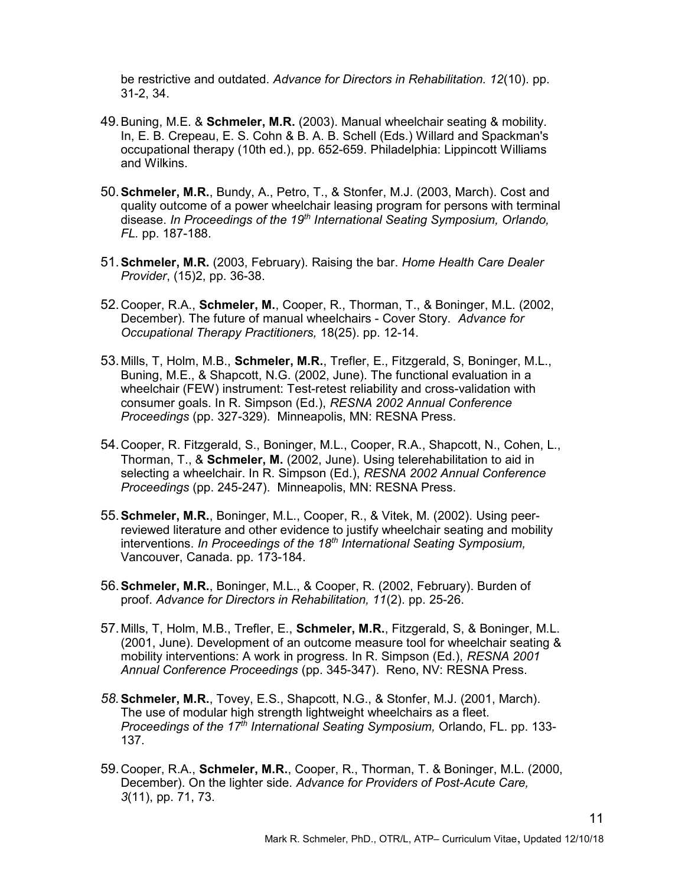be restrictive and outdated. Advance for Directors in Rehabilitation. 12(10). pp. 31-2, 34.

- 49. Buning, M.E. & Schmeler, M.R. (2003). Manual wheelchair seating & mobility. In, E. B. Crepeau, E. S. Cohn & B. A. B. Schell (Eds.) Willard and Spackman's occupational therapy (10th ed.), pp. 652-659. Philadelphia: Lippincott Williams and Wilkins.
- 50. Schmeler, M.R., Bundy, A., Petro, T., & Stonfer, M.J. (2003, March). Cost and quality outcome of a power wheelchair leasing program for persons with terminal disease. In Proceedings of the 19<sup>th</sup> International Seating Symposium, Orlando, FL. pp. 187-188.
- 51. Schmeler, M.R. (2003, February). Raising the bar. Home Health Care Dealer Provider, (15)2, pp. 36-38.
- 52. Cooper, R.A., Schmeler, M., Cooper, R., Thorman, T., & Boninger, M.L. (2002, December). The future of manual wheelchairs - Cover Story. Advance for Occupational Therapy Practitioners, 18(25). pp. 12-14.
- 53. Mills, T, Holm, M.B., Schmeler, M.R., Trefler, E., Fitzgerald, S, Boninger, M.L., Buning, M.E., & Shapcott, N.G. (2002, June). The functional evaluation in a wheelchair (FEW) instrument: Test-retest reliability and cross-validation with consumer goals. In R. Simpson (Ed.), RESNA 2002 Annual Conference Proceedings (pp. 327-329). Minneapolis, MN: RESNA Press.
- 54. Cooper, R. Fitzgerald, S., Boninger, M.L., Cooper, R.A., Shapcott, N., Cohen, L., Thorman, T., & Schmeler, M. (2002, June). Using telerehabilitation to aid in selecting a wheelchair. In R. Simpson (Ed.), RESNA 2002 Annual Conference Proceedings (pp. 245-247). Minneapolis, MN: RESNA Press.
- 55. Schmeler, M.R., Boninger, M.L., Cooper, R., & Vitek, M. (2002). Using peerreviewed literature and other evidence to justify wheelchair seating and mobility interventions. In Proceedings of the  $18<sup>th</sup>$  International Seating Symposium, Vancouver, Canada. pp. 173-184.
- 56. Schmeler, M.R., Boninger, M.L., & Cooper, R. (2002, February). Burden of proof. Advance for Directors in Rehabilitation, 11(2). pp. 25-26.
- 57. Mills, T, Holm, M.B., Trefler, E., Schmeler, M.R., Fitzgerald, S, & Boninger, M.L. (2001, June). Development of an outcome measure tool for wheelchair seating & mobility interventions: A work in progress. In R. Simpson (Ed.), RESNA 2001 Annual Conference Proceedings (pp. 345-347). Reno, NV: RESNA Press.
- 58. Schmeler, M.R., Tovey, E.S., Shapcott, N.G., & Stonfer, M.J. (2001, March). The use of modular high strength lightweight wheelchairs as a fleet. Proceedings of the 17<sup>th</sup> International Seating Symposium, Orlando, FL. pp. 133-137.
- 59. Cooper, R.A., Schmeler, M.R., Cooper, R., Thorman, T. & Boninger, M.L. (2000, December). On the lighter side. Advance for Providers of Post-Acute Care, 3(11), pp. 71, 73.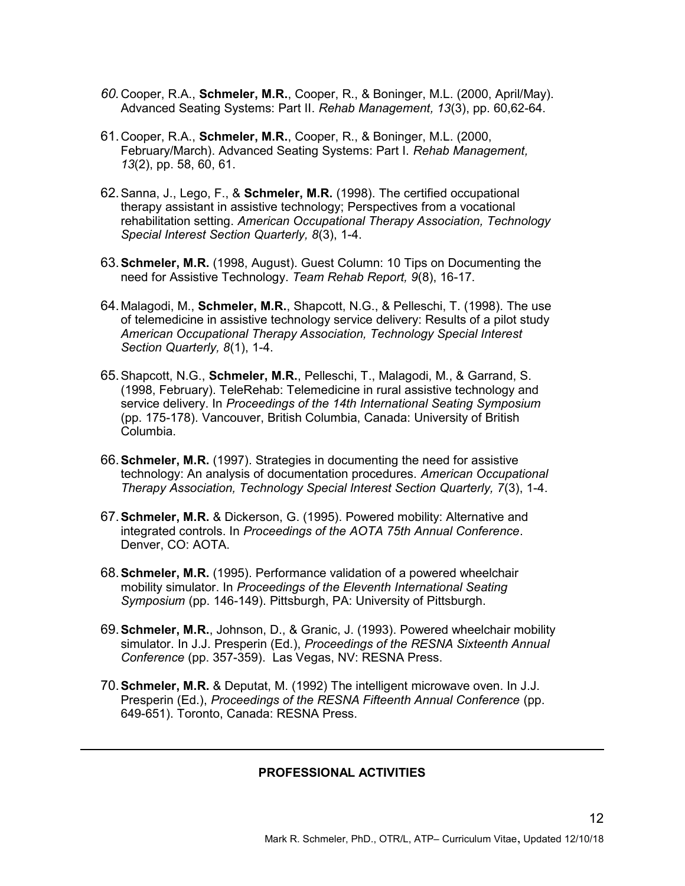- 60. Cooper, R.A., Schmeler, M.R., Cooper, R., & Boninger, M.L. (2000, April/May). Advanced Seating Systems: Part II. Rehab Management, 13(3), pp. 60,62-64.
- 61. Cooper, R.A., Schmeler, M.R., Cooper, R., & Boninger, M.L. (2000, February/March). Advanced Seating Systems: Part I. Rehab Management, 13(2), pp. 58, 60, 61.
- 62. Sanna, J., Lego, F., & Schmeler, M.R. (1998). The certified occupational therapy assistant in assistive technology; Perspectives from a vocational rehabilitation setting. American Occupational Therapy Association, Technology Special Interest Section Quarterly, 8(3), 1-4.
- 63. Schmeler, M.R. (1998, August). Guest Column: 10 Tips on Documenting the need for Assistive Technology. Team Rehab Report, 9(8), 16-17.
- 64. Malagodi, M., Schmeler, M.R., Shapcott, N.G., & Pelleschi, T. (1998). The use of telemedicine in assistive technology service delivery: Results of a pilot study American Occupational Therapy Association, Technology Special Interest Section Quarterly, 8(1), 1-4.
- 65. Shapcott, N.G., Schmeler, M.R., Pelleschi, T., Malagodi, M., & Garrand, S. (1998, February). TeleRehab: Telemedicine in rural assistive technology and service delivery. In Proceedings of the 14th International Seating Symposium (pp. 175-178). Vancouver, British Columbia, Canada: University of British Columbia.
- 66. Schmeler, M.R. (1997). Strategies in documenting the need for assistive technology: An analysis of documentation procedures. American Occupational Therapy Association, Technology Special Interest Section Quarterly, 7(3), 1-4.
- 67. Schmeler, M.R. & Dickerson, G. (1995). Powered mobility: Alternative and integrated controls. In Proceedings of the AOTA 75th Annual Conference. Denver, CO: AOTA.
- 68. Schmeler, M.R. (1995). Performance validation of a powered wheelchair mobility simulator. In Proceedings of the Eleventh International Seating Symposium (pp. 146-149). Pittsburgh, PA: University of Pittsburgh.
- 69. Schmeler, M.R., Johnson, D., & Granic, J. (1993). Powered wheelchair mobility simulator. In J.J. Presperin (Ed.), Proceedings of the RESNA Sixteenth Annual Conference (pp. 357-359). Las Vegas, NV: RESNA Press.
- 70. Schmeler, M.R. & Deputat, M. (1992) The intelligent microwave oven. In J.J. Presperin (Ed.), Proceedings of the RESNA Fifteenth Annual Conference (pp. 649-651). Toronto, Canada: RESNA Press.

l

### PROFESSIONAL ACTIVITIES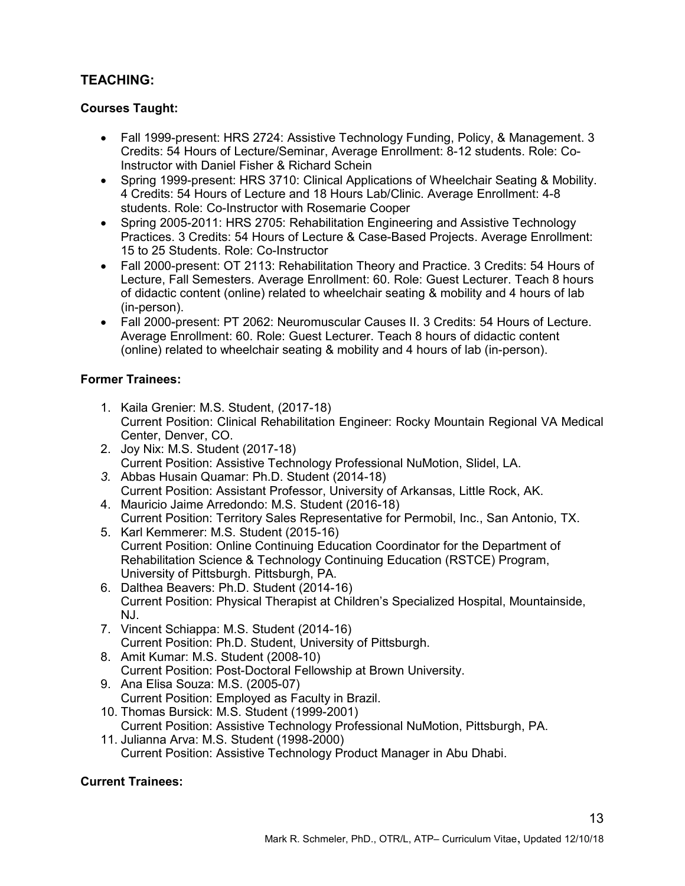# TEACHING:

# Courses Taught:

- Fall 1999-present: HRS 2724: Assistive Technology Funding, Policy, & Management. 3 Credits: 54 Hours of Lecture/Seminar, Average Enrollment: 8-12 students. Role: Co-Instructor with Daniel Fisher & Richard Schein
- Spring 1999-present: HRS 3710: Clinical Applications of Wheelchair Seating & Mobility. 4 Credits: 54 Hours of Lecture and 18 Hours Lab/Clinic. Average Enrollment: 4-8 students. Role: Co-Instructor with Rosemarie Cooper
- Spring 2005-2011: HRS 2705: Rehabilitation Engineering and Assistive Technology Practices. 3 Credits: 54 Hours of Lecture & Case-Based Projects. Average Enrollment: 15 to 25 Students. Role: Co-Instructor
- Fall 2000-present: OT 2113: Rehabilitation Theory and Practice. 3 Credits: 54 Hours of Lecture, Fall Semesters. Average Enrollment: 60. Role: Guest Lecturer. Teach 8 hours of didactic content (online) related to wheelchair seating & mobility and 4 hours of lab (in-person).
- Fall 2000-present: PT 2062: Neuromuscular Causes II. 3 Credits: 54 Hours of Lecture. Average Enrollment: 60. Role: Guest Lecturer. Teach 8 hours of didactic content (online) related to wheelchair seating & mobility and 4 hours of lab (in-person).

# Former Trainees:

- 1. Kaila Grenier: M.S. Student, (2017-18) Current Position: Clinical Rehabilitation Engineer: Rocky Mountain Regional VA Medical Center, Denver, CO.
- 2. Joy Nix: M.S. Student (2017-18) Current Position: Assistive Technology Professional NuMotion, Slidel, LA.
- 3. Abbas Husain Quamar: Ph.D. Student (2014-18) Current Position: Assistant Professor, University of Arkansas, Little Rock, AK.
- 4. Mauricio Jaime Arredondo: M.S. Student (2016-18) Current Position: Territory Sales Representative for Permobil, Inc., San Antonio, TX.
- 5. Karl Kemmerer: M.S. Student (2015-16) Current Position: Online Continuing Education Coordinator for the Department of Rehabilitation Science & Technology Continuing Education (RSTCE) Program, University of Pittsburgh. Pittsburgh, PA.
- 6. Dalthea Beavers: Ph.D. Student (2014-16) Current Position: Physical Therapist at Children's Specialized Hospital, Mountainside, NJ.
- 7. Vincent Schiappa: M.S. Student (2014-16) Current Position: Ph.D. Student, University of Pittsburgh.
- 8. Amit Kumar: M.S. Student (2008-10) Current Position: Post-Doctoral Fellowship at Brown University.
- 9. Ana Elisa Souza: M.S. (2005-07) Current Position: Employed as Faculty in Brazil.
- 10. Thomas Bursick: M.S. Student (1999-2001) Current Position: Assistive Technology Professional NuMotion, Pittsburgh, PA.
- 11. Julianna Arva: M.S. Student (1998-2000) Current Position: Assistive Technology Product Manager in Abu Dhabi.

# Current Trainees: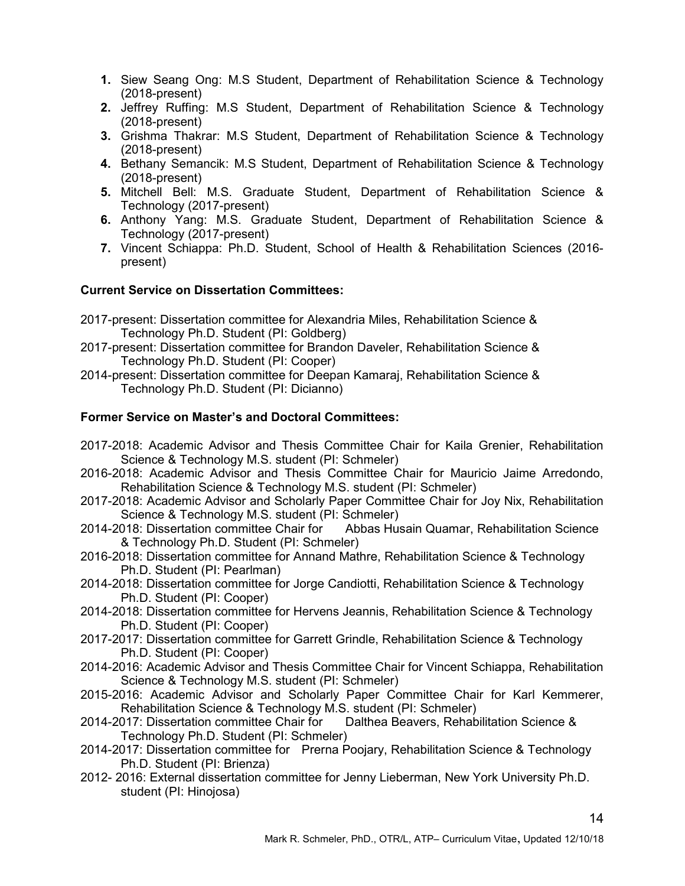- 1. Siew Seang Ong: M.S Student, Department of Rehabilitation Science & Technology (2018-present)
- 2. Jeffrey Ruffing: M.S Student, Department of Rehabilitation Science & Technology (2018-present)
- 3. Grishma Thakrar: M.S Student, Department of Rehabilitation Science & Technology (2018-present)
- 4. Bethany Semancik: M.S Student, Department of Rehabilitation Science & Technology (2018-present)
- 5. Mitchell Bell: M.S. Graduate Student, Department of Rehabilitation Science & Technology (2017-present)
- 6. Anthony Yang: M.S. Graduate Student, Department of Rehabilitation Science & Technology (2017-present)
- 7. Vincent Schiappa: Ph.D. Student, School of Health & Rehabilitation Sciences (2016 present)

## Current Service on Dissertation Committees:

- 2017-present: Dissertation committee for Alexandria Miles, Rehabilitation Science & Technology Ph.D. Student (PI: Goldberg)
- 2017-present: Dissertation committee for Brandon Daveler, Rehabilitation Science & Technology Ph.D. Student (PI: Cooper)
- 2014-present: Dissertation committee for Deepan Kamaraj, Rehabilitation Science & Technology Ph.D. Student (PI: Dicianno)

# Former Service on Master's and Doctoral Committees:

- 2017-2018: Academic Advisor and Thesis Committee Chair for Kaila Grenier, Rehabilitation Science & Technology M.S. student (PI: Schmeler)
- 2016-2018: Academic Advisor and Thesis Committee Chair for Mauricio Jaime Arredondo, Rehabilitation Science & Technology M.S. student (PI: Schmeler)
- 2017-2018: Academic Advisor and Scholarly Paper Committee Chair for Joy Nix, Rehabilitation Science & Technology M.S. student (PI: Schmeler)
- 2014-2018: Dissertation committee Chair for Abbas Husain Quamar, Rehabilitation Science & Technology Ph.D. Student (PI: Schmeler)
- 2016-2018: Dissertation committee for Annand Mathre, Rehabilitation Science & Technology Ph.D. Student (PI: Pearlman)
- 2014-2018: Dissertation committee for Jorge Candiotti, Rehabilitation Science & Technology Ph.D. Student (PI: Cooper)
- 2014-2018: Dissertation committee for Hervens Jeannis, Rehabilitation Science & Technology Ph.D. Student (PI: Cooper)
- 2017-2017: Dissertation committee for Garrett Grindle, Rehabilitation Science & Technology Ph.D. Student (PI: Cooper)
- 2014-2016: Academic Advisor and Thesis Committee Chair for Vincent Schiappa, Rehabilitation Science & Technology M.S. student (PI: Schmeler)
- 2015-2016: Academic Advisor and Scholarly Paper Committee Chair for Karl Kemmerer, Rehabilitation Science & Technology M.S. student (PI: Schmeler)
- 2014-2017: Dissertation committee Chair for Dalthea Beavers, Rehabilitation Science & Technology Ph.D. Student (PI: Schmeler)
- 2014-2017: Dissertation committee for Prerna Poojary, Rehabilitation Science & Technology Ph.D. Student (PI: Brienza)
- 2012- 2016: External dissertation committee for Jenny Lieberman, New York University Ph.D. student (PI: Hinojosa)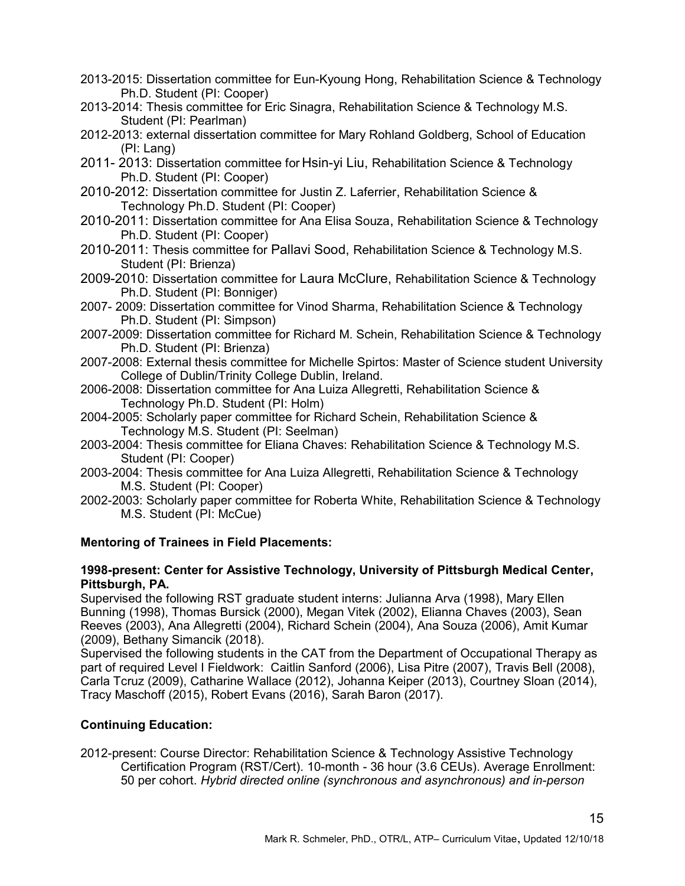- 2013-2015: Dissertation committee for Eun-Kyoung Hong, Rehabilitation Science & Technology Ph.D. Student (PI: Cooper)
- 2013-2014: Thesis committee for Eric Sinagra, Rehabilitation Science & Technology M.S. Student (PI: Pearlman)
- 2012-2013: external dissertation committee for Mary Rohland Goldberg, School of Education (PI: Lang)
- 2011- 2013: Dissertation committee for Hsin-yi Liu, Rehabilitation Science & Technology Ph.D. Student (PI: Cooper)
- 2010-2012: Dissertation committee for Justin Z. Laferrier, Rehabilitation Science & Technology Ph.D. Student (PI: Cooper)
- 2010-2011: Dissertation committee for Ana Elisa Souza, Rehabilitation Science & Technology Ph.D. Student (PI: Cooper)
- 2010-2011: Thesis committee for Pallavi Sood, Rehabilitation Science & Technology M.S. Student (PI: Brienza)
- 2009-2010: Dissertation committee for Laura McClure, Rehabilitation Science & Technology Ph.D. Student (PI: Bonniger)
- 2007- 2009: Dissertation committee for Vinod Sharma, Rehabilitation Science & Technology Ph.D. Student (PI: Simpson)
- 2007-2009: Dissertation committee for Richard M. Schein, Rehabilitation Science & Technology Ph.D. Student (PI: Brienza)
- 2007-2008: External thesis committee for Michelle Spirtos: Master of Science student University College of Dublin/Trinity College Dublin, Ireland.
- 2006-2008: Dissertation committee for Ana Luiza Allegretti, Rehabilitation Science & Technology Ph.D. Student (PI: Holm)
- 2004-2005: Scholarly paper committee for Richard Schein, Rehabilitation Science & Technology M.S. Student (PI: Seelman)
- 2003-2004: Thesis committee for Eliana Chaves: Rehabilitation Science & Technology M.S. Student (PI: Cooper)
- 2003-2004: Thesis committee for Ana Luiza Allegretti, Rehabilitation Science & Technology M.S. Student (PI: Cooper)
- 2002-2003: Scholarly paper committee for Roberta White, Rehabilitation Science & Technology M.S. Student (PI: McCue)

# Mentoring of Trainees in Field Placements:

#### 1998-present: Center for Assistive Technology, University of Pittsburgh Medical Center, Pittsburgh, PA.

Supervised the following RST graduate student interns: Julianna Arva (1998), Mary Ellen Bunning (1998), Thomas Bursick (2000), Megan Vitek (2002), Elianna Chaves (2003), Sean Reeves (2003), Ana Allegretti (2004), Richard Schein (2004), Ana Souza (2006), Amit Kumar (2009), Bethany Simancik (2018).

Supervised the following students in the CAT from the Department of Occupational Therapy as part of required Level I Fieldwork: Caitlin Sanford (2006), Lisa Pitre (2007), Travis Bell (2008), Carla Tcruz (2009), Catharine Wallace (2012), Johanna Keiper (2013), Courtney Sloan (2014), Tracy Maschoff (2015), Robert Evans (2016), Sarah Baron (2017).

# Continuing Education:

2012-present: Course Director: Rehabilitation Science & Technology Assistive Technology Certification Program (RST/Cert). 10-month - 36 hour (3.6 CEUs). Average Enrollment: 50 per cohort. Hybrid directed online (synchronous and asynchronous) and in-person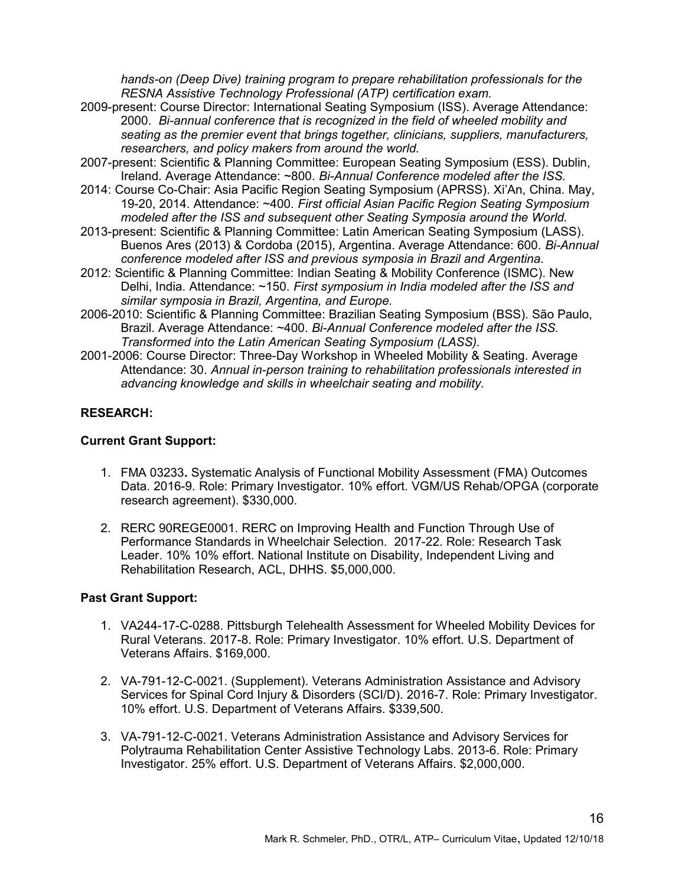hands-on (Deep Dive) training program to prepare rehabilitation professionals for the RESNA Assistive Technology Professional (ATP) certification exam.

- 2009-present: Course Director: International Seating Symposium (ISS). Average Attendance: 2000. Bi-annual conference that is recognized in the field of wheeled mobility and seating as the premier event that brings together, clinicians, suppliers, manufacturers, researchers, and policy makers from around the world.
- 2007-present: Scientific & Planning Committee: European Seating Symposium (ESS). Dublin, Ireland. Average Attendance: ~800. Bi-Annual Conference modeled after the ISS.
- 2014: Course Co-Chair: Asia Pacific Region Seating Symposium (APRSS). Xi'An, China. May, 19-20, 2014. Attendance: ~400. First official Asian Pacific Region Seating Symposium modeled after the ISS and subsequent other Seating Symposia around the World.
- 2013-present: Scientific & Planning Committee: Latin American Seating Symposium (LASS). Buenos Ares (2013) & Cordoba (2015), Argentina. Average Attendance: 600. Bi-Annual conference modeled after ISS and previous symposia in Brazil and Argentina.
- 2012: Scientific & Planning Committee: Indian Seating & Mobility Conference (ISMC). New Delhi, India. Attendance: ~150. First symposium in India modeled after the ISS and similar symposia in Brazil, Argentina, and Europe.
- 2006-2010: Scientific & Planning Committee: Brazilian Seating Symposium (BSS). São Paulo, Brazil. Average Attendance: ~400. Bi-Annual Conference modeled after the ISS. Transformed into the Latin American Seating Symposium (LASS).
- 2001-2006: Course Director: Three-Day Workshop in Wheeled Mobility & Seating. Average Attendance: 30. Annual in-person training to rehabilitation professionals interested in advancing knowledge and skills in wheelchair seating and mobility.

# RESEARCH:

### Current Grant Support:

- 1. FMA 03233. Systematic Analysis of Functional Mobility Assessment (FMA) Outcomes Data. 2016-9. Role: Primary Investigator. 10% effort. VGM/US Rehab/OPGA (corporate research agreement). \$330,000.
- 2. RERC 90REGE0001. RERC on Improving Health and Function Through Use of Performance Standards in Wheelchair Selection. 2017-22. Role: Research Task Leader. 10% 10% effort. National Institute on Disability, Independent Living and Rehabilitation Research, ACL, DHHS. \$5,000,000.

## Past Grant Support:

- 1. VA244-17-C-0288. Pittsburgh Telehealth Assessment for Wheeled Mobility Devices for Rural Veterans. 2017-8. Role: Primary Investigator. 10% effort. U.S. Department of Veterans Affairs. \$169,000.
- 2. VA-791-12-C-0021. (Supplement). Veterans Administration Assistance and Advisory Services for Spinal Cord Injury & Disorders (SCI/D). 2016-7. Role: Primary Investigator. 10% effort. U.S. Department of Veterans Affairs. \$339,500.
- 3. VA-791-12-C-0021. Veterans Administration Assistance and Advisory Services for Polytrauma Rehabilitation Center Assistive Technology Labs. 2013-6. Role: Primary Investigator. 25% effort. U.S. Department of Veterans Affairs. \$2,000,000.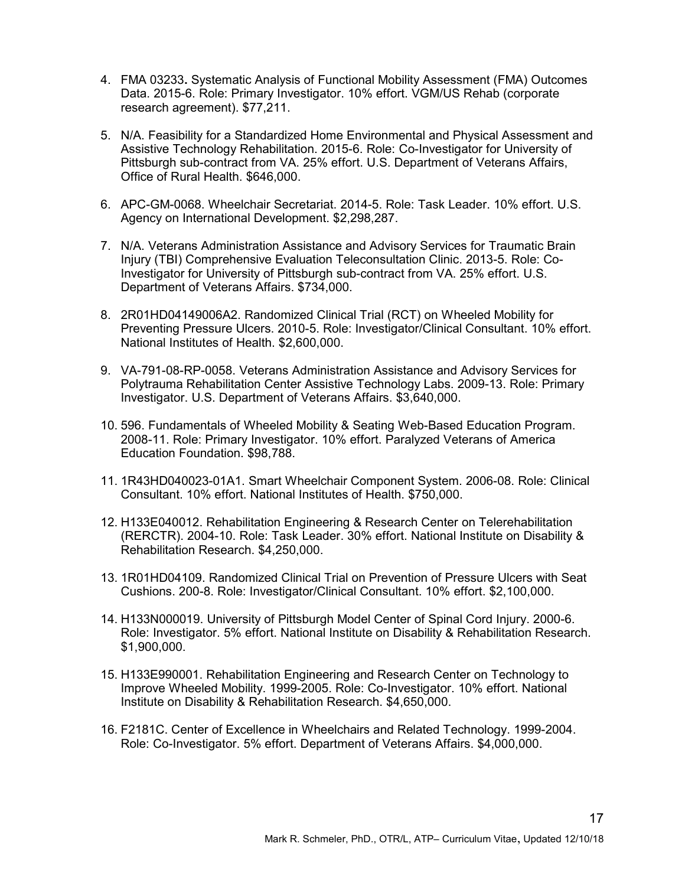- 4. FMA 03233. Systematic Analysis of Functional Mobility Assessment (FMA) Outcomes Data. 2015-6. Role: Primary Investigator. 10% effort. VGM/US Rehab (corporate research agreement). \$77,211.
- 5. N/A. Feasibility for a Standardized Home Environmental and Physical Assessment and Assistive Technology Rehabilitation. 2015-6. Role: Co-Investigator for University of Pittsburgh sub-contract from VA. 25% effort. U.S. Department of Veterans Affairs, Office of Rural Health. \$646,000.
- 6. APC-GM-0068. Wheelchair Secretariat. 2014-5. Role: Task Leader. 10% effort. U.S. Agency on International Development. \$2,298,287.
- 7. N/A. Veterans Administration Assistance and Advisory Services for Traumatic Brain Injury (TBI) Comprehensive Evaluation Teleconsultation Clinic. 2013-5. Role: Co-Investigator for University of Pittsburgh sub-contract from VA. 25% effort. U.S. Department of Veterans Affairs. \$734,000.
- 8. 2R01HD04149006A2. Randomized Clinical Trial (RCT) on Wheeled Mobility for Preventing Pressure Ulcers. 2010-5. Role: Investigator/Clinical Consultant. 10% effort. National Institutes of Health. \$2,600,000.
- 9. VA-791-08-RP-0058. Veterans Administration Assistance and Advisory Services for Polytrauma Rehabilitation Center Assistive Technology Labs. 2009-13. Role: Primary Investigator. U.S. Department of Veterans Affairs. \$3,640,000.
- 10. 596. Fundamentals of Wheeled Mobility & Seating Web-Based Education Program. 2008-11. Role: Primary Investigator. 10% effort. Paralyzed Veterans of America Education Foundation. \$98,788.
- 11. 1R43HD040023-01A1. Smart Wheelchair Component System. 2006-08. Role: Clinical Consultant. 10% effort. National Institutes of Health. \$750,000.
- 12. H133E040012. Rehabilitation Engineering & Research Center on Telerehabilitation (RERCTR). 2004-10. Role: Task Leader. 30% effort. National Institute on Disability & Rehabilitation Research. \$4,250,000.
- 13. 1R01HD04109. Randomized Clinical Trial on Prevention of Pressure Ulcers with Seat Cushions. 200-8. Role: Investigator/Clinical Consultant. 10% effort. \$2,100,000.
- 14. H133N000019. University of Pittsburgh Model Center of Spinal Cord Injury. 2000-6. Role: Investigator. 5% effort. National Institute on Disability & Rehabilitation Research. \$1,900,000.
- 15. H133E990001. Rehabilitation Engineering and Research Center on Technology to Improve Wheeled Mobility. 1999-2005. Role: Co-Investigator. 10% effort. National Institute on Disability & Rehabilitation Research. \$4,650,000.
- 16. F2181C. Center of Excellence in Wheelchairs and Related Technology. 1999-2004. Role: Co-Investigator. 5% effort. Department of Veterans Affairs. \$4,000,000.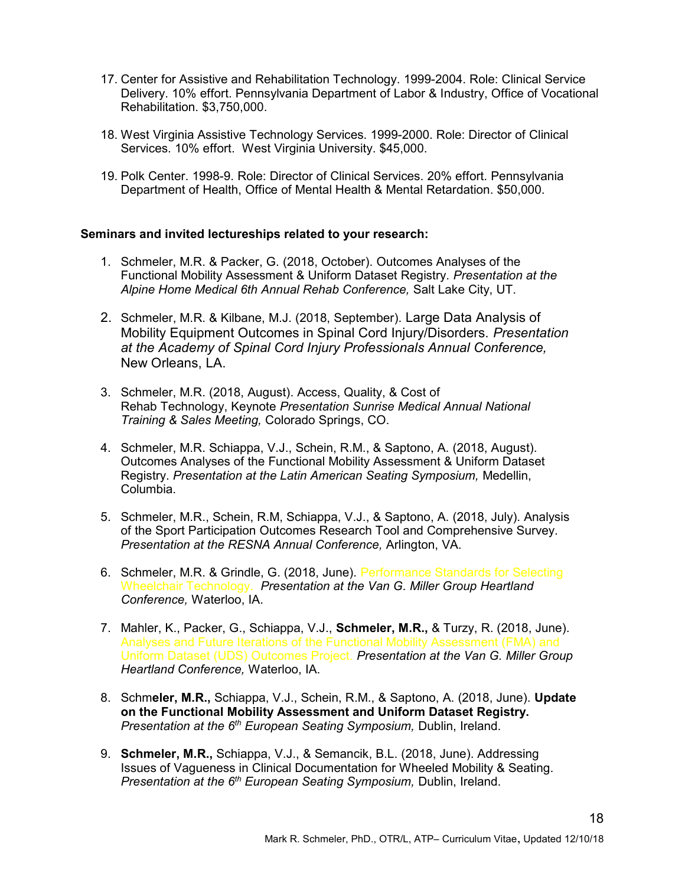- 17. Center for Assistive and Rehabilitation Technology. 1999-2004. Role: Clinical Service Delivery. 10% effort. Pennsylvania Department of Labor & Industry, Office of Vocational Rehabilitation. \$3,750,000.
- 18. West Virginia Assistive Technology Services. 1999-2000. Role: Director of Clinical Services. 10% effort. West Virginia University. \$45,000.
- 19. Polk Center. 1998-9. Role: Director of Clinical Services. 20% effort. Pennsylvania Department of Health, Office of Mental Health & Mental Retardation. \$50,000.

#### Seminars and invited lectureships related to your research:

- 1. Schmeler, M.R. & Packer, G. (2018, October). Outcomes Analyses of the Functional Mobility Assessment & Uniform Dataset Registry. Presentation at the Alpine Home Medical 6th Annual Rehab Conference, Salt Lake City, UT.
- 2. Schmeler, M.R. & Kilbane, M.J. (2018, September). Large Data Analysis of Mobility Equipment Outcomes in Spinal Cord Injury/Disorders. Presentation at the Academy of Spinal Cord Injury Professionals Annual Conference, New Orleans, LA.
- 3. Schmeler, M.R. (2018, August). Access, Quality, & Cost of Rehab Technology, Keynote Presentation Sunrise Medical Annual National Training & Sales Meeting, Colorado Springs, CO.
- 4. Schmeler, M.R. Schiappa, V.J., Schein, R.M., & Saptono, A. (2018, August). Outcomes Analyses of the Functional Mobility Assessment & Uniform Dataset Registry. Presentation at the Latin American Seating Symposium, Medellin, Columbia.
- 5. Schmeler, M.R., Schein, R.M, Schiappa, V.J., & Saptono, A. (2018, July). Analysis of the Sport Participation Outcomes Research Tool and Comprehensive Survey. Presentation at the RESNA Annual Conference, Arlington, VA.
- 6. Schmeler, M.R. & Grindle, G. (2018, June). Performance Standards for Selecting Wheelchair Technology. Presentation at the Van G. Miller Group Heartland Conference, Waterloo, IA.
- 7. Mahler, K., Packer, G., Schiappa, V.J., Schmeler, M.R., & Turzy, R. (2018, June). Analyses and Future Iterations of the Functional Mobility Assessment (FMA) and Uniform Dataset (UDS) Outcomes Project. Presentation at the Van G. Miller Group Heartland Conference, Waterloo, IA.
- 8. Schmeler, M.R., Schiappa, V.J., Schein, R.M., & Saptono, A. (2018, June). Update on the Functional Mobility Assessment and Uniform Dataset Registry. Presentation at the  $6<sup>th</sup>$  European Seating Symposium, Dublin, Ireland.
- 9. Schmeler, M.R., Schiappa, V.J., & Semancik, B.L. (2018, June). Addressing Issues of Vagueness in Clinical Documentation for Wheeled Mobility & Seating. Presentation at the  $6<sup>th</sup>$  European Seating Symposium, Dublin, Ireland.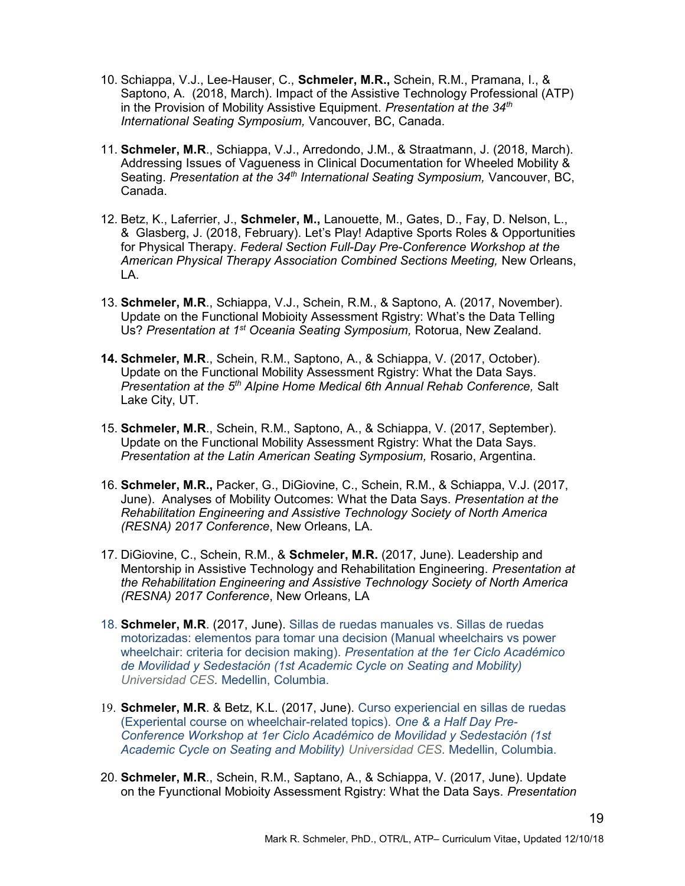- 10. Schiappa, V.J., Lee-Hauser, C., Schmeler, M.R., Schein, R.M., Pramana, I., & Saptono, A. (2018, March). Impact of the Assistive Technology Professional (ATP) in the Provision of Mobility Assistive Equipment. Presentation at the  $34<sup>th</sup>$ International Seating Symposium, Vancouver, BC, Canada.
- 11. Schmeler, M.R., Schiappa, V.J., Arredondo, J.M., & Straatmann, J. (2018, March). Addressing Issues of Vagueness in Clinical Documentation for Wheeled Mobility & Seating. Presentation at the 34<sup>th</sup> International Seating Symposium. Vancouver. BC. Canada.
- 12. Betz, K., Laferrier, J., Schmeler, M., Lanouette, M., Gates, D., Fay, D. Nelson, L., & Glasberg, J. (2018, February). Let's Play! Adaptive Sports Roles & Opportunities for Physical Therapy. Federal Section Full-Day Pre-Conference Workshop at the American Physical Therapy Association Combined Sections Meeting, New Orleans, LA.
- 13. Schmeler, M.R., Schiappa, V.J., Schein, R.M., & Saptono, A. (2017, November). Update on the Functional Mobioity Assessment Rgistry: What's the Data Telling Us? Presentation at 1<sup>st</sup> Oceania Seating Symposium, Rotorua, New Zealand.
- 14. Schmeler, M.R., Schein, R.M., Saptono, A., & Schiappa, V. (2017, October). Update on the Functional Mobility Assessment Rgistry: What the Data Says. Presentation at the  $5<sup>th</sup>$  Alpine Home Medical 6th Annual Rehab Conference, Salt Lake City, UT.
- 15. Schmeler, M.R., Schein, R.M., Saptono, A., & Schiappa, V. (2017, September). Update on the Functional Mobility Assessment Rgistry: What the Data Says. Presentation at the Latin American Seating Symposium, Rosario, Argentina.
- 16. Schmeler, M.R., Packer, G., DiGiovine, C., Schein, R.M., & Schiappa, V.J. (2017, June). Analyses of Mobility Outcomes: What the Data Says. Presentation at the Rehabilitation Engineering and Assistive Technology Society of North America (RESNA) 2017 Conference, New Orleans, LA.
- 17. DiGiovine, C., Schein, R.M., & Schmeler, M.R. (2017, June). Leadership and Mentorship in Assistive Technology and Rehabilitation Engineering. Presentation at the Rehabilitation Engineering and Assistive Technology Society of North America (RESNA) 2017 Conference, New Orleans, LA
- 18. Schmeler, M.R. (2017, June). Sillas de ruedas manuales vs. Sillas de ruedas motorizadas: elementos para tomar una decision (Manual wheelchairs vs power wheelchair: criteria for decision making). Presentation at the 1er Ciclo Académico de Movilidad y Sedestación (1st Academic Cycle on Seating and Mobility) Universidad CES. Medellin, Columbia.
- 19. Schmeler, M.R. & Betz, K.L. (2017, June). Curso experiencial en sillas de ruedas (Experiental course on wheelchair-related topics). One & a Half Day Pre-Conference Workshop at 1er Ciclo Académico de Movilidad y Sedestación (1st Academic Cycle on Seating and Mobility) Universidad CES. Medellin, Columbia.
- 20. Schmeler, M.R., Schein, R.M., Saptano, A., & Schiappa, V. (2017, June). Update on the Fyunctional Mobioity Assessment Rgistry: What the Data Says. Presentation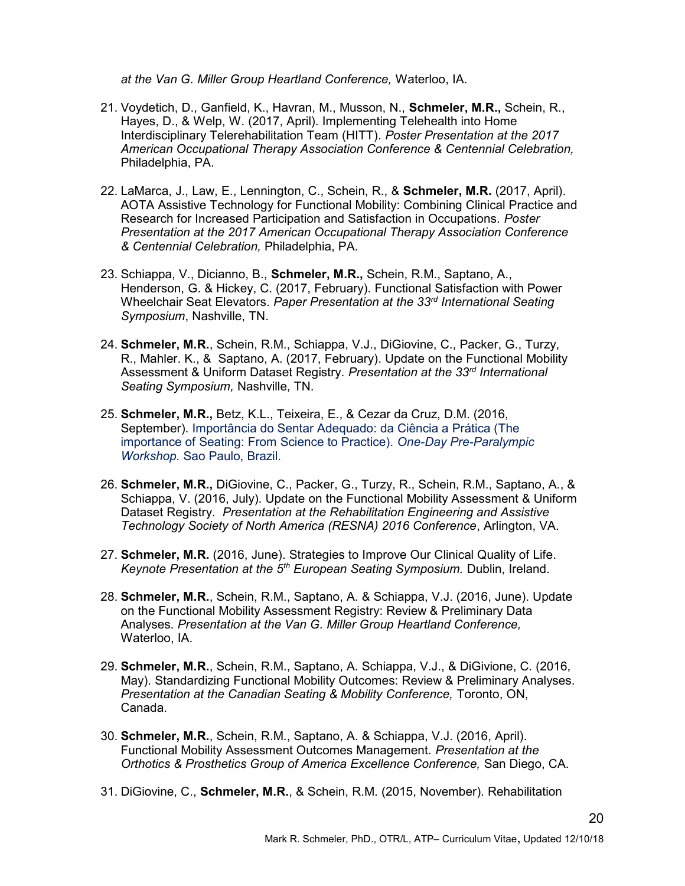at the Van G. Miller Group Heartland Conference, Waterloo, IA.

- 21. Voydetich, D., Ganfield, K., Havran, M., Musson, N., Schmeler, M.R., Schein, R., Hayes, D., & Welp, W. (2017, April). Implementing Telehealth into Home Interdisciplinary Telerehabilitation Team (HITT). Poster Presentation at the 2017 American Occupational Therapy Association Conference & Centennial Celebration, Philadelphia, PA.
- 22. LaMarca, J., Law, E., Lennington, C., Schein, R., & Schmeler, M.R. (2017, April). AOTA Assistive Technology for Functional Mobility: Combining Clinical Practice and Research for Increased Participation and Satisfaction in Occupations. Poster Presentation at the 2017 American Occupational Therapy Association Conference & Centennial Celebration, Philadelphia, PA.
- 23. Schiappa, V., Dicianno, B., Schmeler, M.R., Schein, R.M., Saptano, A., Henderson, G. & Hickey, C. (2017, February). Functional Satisfaction with Power Wheelchair Seat Elevators. Paper Presentation at the 33rd International Seating Symposium, Nashville, TN.
- 24. Schmeler, M.R., Schein, R.M., Schiappa, V.J., DiGiovine, C., Packer, G., Turzy, R., Mahler. K., & Saptano, A. (2017, February). Update on the Functional Mobility Assessment & Uniform Dataset Registry. Presentation at the 33<sup>rd</sup> International Seating Symposium, Nashville, TN.
- 25. Schmeler, M.R., Betz, K.L., Teixeira, E., & Cezar da Cruz, D.M. (2016, September). Importância do Sentar Adequado: da Ciência a Prática (The importance of Seating: From Science to Practice). One-Day Pre-Paralympic Workshop. Sao Paulo, Brazil.
- 26. Schmeler, M.R., DiGiovine, C., Packer, G., Turzy, R., Schein, R.M., Saptano, A., & Schiappa, V. (2016, July). Update on the Functional Mobility Assessment & Uniform Dataset Registry. Presentation at the Rehabilitation Engineering and Assistive Technology Society of North America (RESNA) 2016 Conference, Arlington, VA.
- 27. Schmeler, M.R. (2016, June). Strategies to Improve Our Clinical Quality of Life. Keynote Presentation at the 5<sup>th</sup> European Seating Symposium. Dublin, Ireland.
- 28. Schmeler, M.R., Schein, R.M., Saptano, A. & Schiappa, V.J. (2016, June). Update on the Functional Mobility Assessment Registry: Review & Preliminary Data Analyses. Presentation at the Van G. Miller Group Heartland Conference, Waterloo, IA.
- 29. Schmeler, M.R., Schein, R.M., Saptano, A. Schiappa, V.J., & DiGivione, C. (2016, May). Standardizing Functional Mobility Outcomes: Review & Preliminary Analyses. Presentation at the Canadian Seating & Mobility Conference, Toronto, ON, Canada.
- 30. Schmeler, M.R., Schein, R.M., Saptano, A. & Schiappa, V.J. (2016, April). Functional Mobility Assessment Outcomes Management. Presentation at the Orthotics & Prosthetics Group of America Excellence Conference, San Diego, CA.
- 31. DiGiovine, C., Schmeler, M.R., & Schein, R.M. (2015, November). Rehabilitation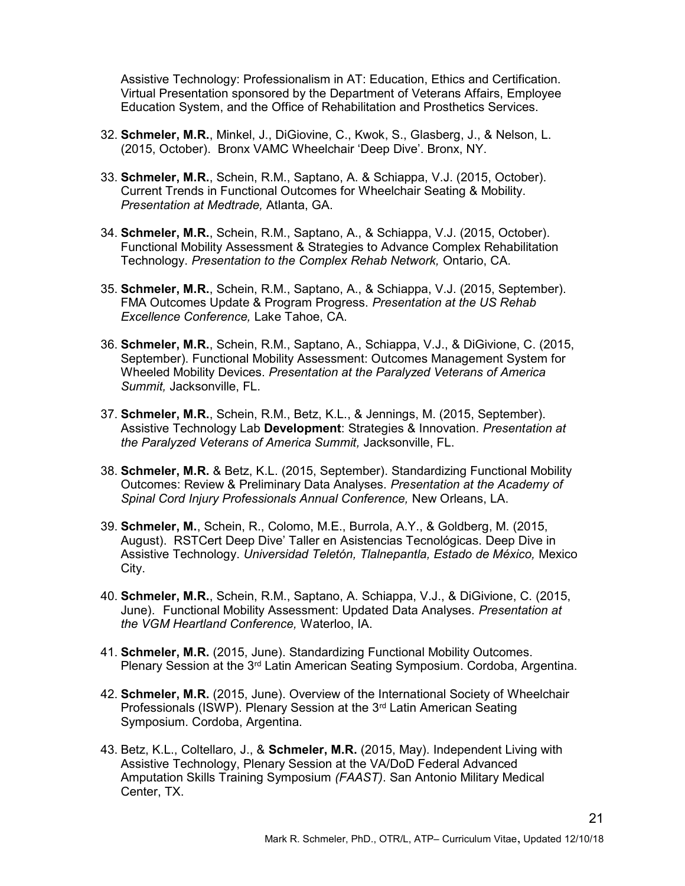Assistive Technology: Professionalism in AT: Education, Ethics and Certification. Virtual Presentation sponsored by the Department of Veterans Affairs, Employee Education System, and the Office of Rehabilitation and Prosthetics Services.

- 32. Schmeler, M.R., Minkel, J., DiGiovine, C., Kwok, S., Glasberg, J., & Nelson, L. (2015, October). Bronx VAMC Wheelchair 'Deep Dive'. Bronx, NY.
- 33. Schmeler, M.R., Schein, R.M., Saptano, A. & Schiappa, V.J. (2015, October). Current Trends in Functional Outcomes for Wheelchair Seating & Mobility. Presentation at Medtrade, Atlanta, GA.
- 34. Schmeler, M.R., Schein, R.M., Saptano, A., & Schiappa, V.J. (2015, October). Functional Mobility Assessment & Strategies to Advance Complex Rehabilitation Technology. Presentation to the Complex Rehab Network, Ontario, CA.
- 35. Schmeler, M.R., Schein, R.M., Saptano, A., & Schiappa, V.J. (2015, September). FMA Outcomes Update & Program Progress. Presentation at the US Rehab Excellence Conference, Lake Tahoe, CA.
- 36. Schmeler, M.R., Schein, R.M., Saptano, A., Schiappa, V.J., & DiGivione, C. (2015, September). Functional Mobility Assessment: Outcomes Management System for Wheeled Mobility Devices. Presentation at the Paralyzed Veterans of America Summit, Jacksonville, FL.
- 37. Schmeler, M.R., Schein, R.M., Betz, K.L., & Jennings, M. (2015, September). Assistive Technology Lab Development: Strategies & Innovation. Presentation at the Paralyzed Veterans of America Summit, Jacksonville, FL.
- 38. Schmeler, M.R. & Betz, K.L. (2015, September). Standardizing Functional Mobility Outcomes: Review & Preliminary Data Analyses. Presentation at the Academy of Spinal Cord Injury Professionals Annual Conference, New Orleans, LA.
- 39. Schmeler, M., Schein, R., Colomo, M.E., Burrola, A.Y., & Goldberg, M. (2015, August). RSTCert Deep Dive' Taller en Asistencias Tecnológicas. Deep Dive in Assistive Technology. Universidad Teletón, Tlalnepantla, Estado de México, Mexico City.
- 40. Schmeler, M.R., Schein, R.M., Saptano, A. Schiappa, V.J., & DiGivione, C. (2015, June). Functional Mobility Assessment: Updated Data Analyses. Presentation at the VGM Heartland Conference, Waterloo, IA.
- 41. Schmeler, M.R. (2015, June). Standardizing Functional Mobility Outcomes. Plenary Session at the 3<sup>rd</sup> Latin American Seating Symposium. Cordoba, Argentina.
- 42. Schmeler, M.R. (2015, June). Overview of the International Society of Wheelchair Professionals (ISWP). Plenary Session at the 3<sup>rd</sup> Latin American Seating Symposium. Cordoba, Argentina.
- 43. Betz, K.L., Coltellaro, J., & Schmeler, M.R. (2015, May). Independent Living with Assistive Technology, Plenary Session at the VA/DoD Federal Advanced Amputation Skills Training Symposium (FAAST). San Antonio Military Medical Center, TX.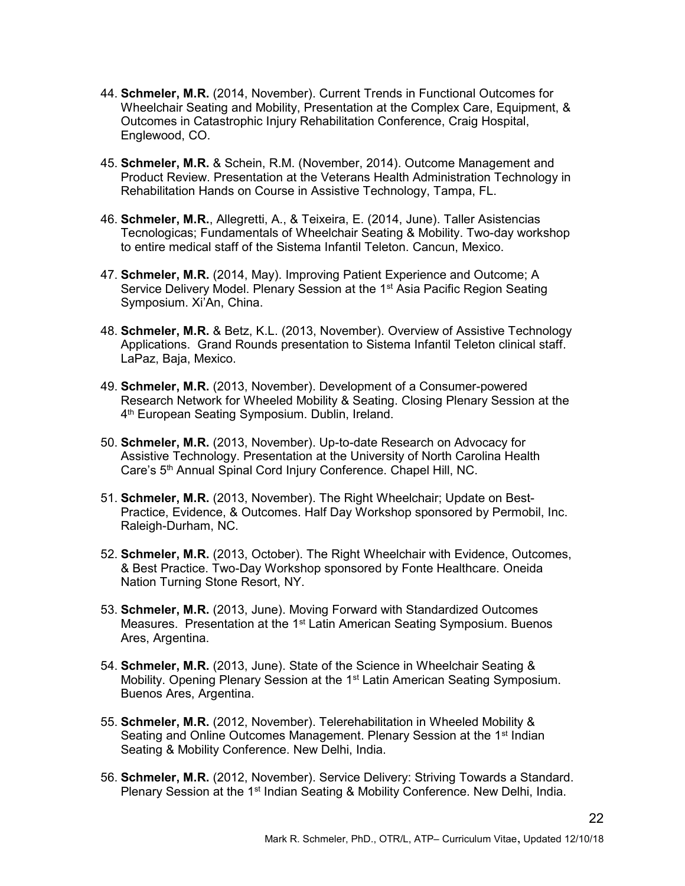- 44. Schmeler, M.R. (2014, November). Current Trends in Functional Outcomes for Wheelchair Seating and Mobility, Presentation at the Complex Care, Equipment, & Outcomes in Catastrophic Injury Rehabilitation Conference, Craig Hospital, Englewood, CO.
- 45. Schmeler, M.R. & Schein, R.M. (November, 2014). Outcome Management and Product Review. Presentation at the Veterans Health Administration Technology in Rehabilitation Hands on Course in Assistive Technology, Tampa, FL.
- 46. Schmeler, M.R., Allegretti, A., & Teixeira, E. (2014, June). Taller Asistencias Tecnologicas; Fundamentals of Wheelchair Seating & Mobility. Two-day workshop to entire medical staff of the Sistema Infantil Teleton. Cancun, Mexico.
- 47. Schmeler, M.R. (2014, May). Improving Patient Experience and Outcome; A Service Delivery Model. Plenary Session at the 1<sup>st</sup> Asia Pacific Region Seating Symposium. Xi'An, China.
- 48. Schmeler, M.R. & Betz, K.L. (2013, November). Overview of Assistive Technology Applications. Grand Rounds presentation to Sistema Infantil Teleton clinical staff. LaPaz, Baja, Mexico.
- 49. Schmeler, M.R. (2013, November). Development of a Consumer-powered Research Network for Wheeled Mobility & Seating. Closing Plenary Session at the 4 th European Seating Symposium. Dublin, Ireland.
- 50. Schmeler, M.R. (2013, November). Up-to-date Research on Advocacy for Assistive Technology. Presentation at the University of North Carolina Health Care's 5<sup>th</sup> Annual Spinal Cord Injury Conference. Chapel Hill, NC.
- 51. Schmeler, M.R. (2013, November). The Right Wheelchair; Update on Best-Practice, Evidence, & Outcomes. Half Day Workshop sponsored by Permobil, Inc. Raleigh-Durham, NC.
- 52. Schmeler, M.R. (2013, October). The Right Wheelchair with Evidence, Outcomes, & Best Practice. Two-Day Workshop sponsored by Fonte Healthcare. Oneida Nation Turning Stone Resort, NY.
- 53. Schmeler, M.R. (2013, June). Moving Forward with Standardized Outcomes Measures. Presentation at the  $1<sup>st</sup>$  Latin American Seating Symposium. Buenos Ares, Argentina.
- 54. Schmeler, M.R. (2013, June). State of the Science in Wheelchair Seating & Mobility. Opening Plenary Session at the 1<sup>st</sup> Latin American Seating Symposium. Buenos Ares, Argentina.
- 55. Schmeler, M.R. (2012, November). Telerehabilitation in Wheeled Mobility & Seating and Online Outcomes Management. Plenary Session at the 1<sup>st</sup> Indian Seating & Mobility Conference. New Delhi, India.
- 56. Schmeler, M.R. (2012, November). Service Delivery: Striving Towards a Standard. Plenary Session at the 1<sup>st</sup> Indian Seating & Mobility Conference. New Delhi, India.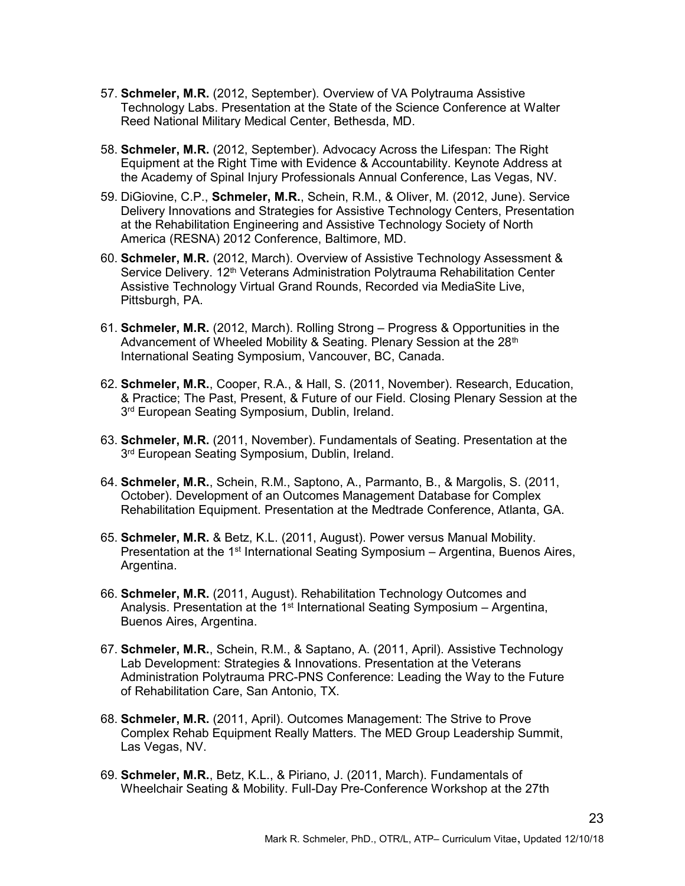- 57. Schmeler, M.R. (2012, September). Overview of VA Polytrauma Assistive Technology Labs. Presentation at the State of the Science Conference at Walter Reed National Military Medical Center, Bethesda, MD.
- 58. Schmeler, M.R. (2012, September). Advocacy Across the Lifespan: The Right Equipment at the Right Time with Evidence & Accountability. Keynote Address at the Academy of Spinal Injury Professionals Annual Conference, Las Vegas, NV.
- 59. DiGiovine, C.P., Schmeler, M.R., Schein, R.M., & Oliver, M. (2012, June). Service Delivery Innovations and Strategies for Assistive Technology Centers, Presentation at the Rehabilitation Engineering and Assistive Technology Society of North America (RESNA) 2012 Conference, Baltimore, MD.
- 60. Schmeler, M.R. (2012, March). Overview of Assistive Technology Assessment & Service Delivery. 12<sup>th</sup> Veterans Administration Polytrauma Rehabilitation Center Assistive Technology Virtual Grand Rounds, Recorded via MediaSite Live, Pittsburgh, PA.
- 61. Schmeler, M.R. (2012, March). Rolling Strong Progress & Opportunities in the Advancement of Wheeled Mobility & Seating. Plenary Session at the 28<sup>th</sup> International Seating Symposium, Vancouver, BC, Canada.
- 62. Schmeler, M.R., Cooper, R.A., & Hall, S. (2011, November). Research, Education, & Practice; The Past, Present, & Future of our Field. Closing Plenary Session at the 3<sup>rd</sup> European Seating Symposium, Dublin, Ireland.
- 63. Schmeler, M.R. (2011, November). Fundamentals of Seating. Presentation at the 3<sup>rd</sup> European Seating Symposium, Dublin, Ireland.
- 64. Schmeler, M.R., Schein, R.M., Saptono, A., Parmanto, B., & Margolis, S. (2011, October). Development of an Outcomes Management Database for Complex Rehabilitation Equipment. Presentation at the Medtrade Conference, Atlanta, GA.
- 65. Schmeler, M.R. & Betz, K.L. (2011, August). Power versus Manual Mobility. Presentation at the 1<sup>st</sup> International Seating Symposium – Argentina, Buenos Aires, Argentina.
- 66. Schmeler, M.R. (2011, August). Rehabilitation Technology Outcomes and Analysis. Presentation at the  $1<sup>st</sup>$  International Seating Symposium – Argentina, Buenos Aires, Argentina.
- 67. Schmeler, M.R., Schein, R.M., & Saptano, A. (2011, April). Assistive Technology Lab Development: Strategies & Innovations. Presentation at the Veterans Administration Polytrauma PRC-PNS Conference: Leading the Way to the Future of Rehabilitation Care, San Antonio, TX.
- 68. Schmeler, M.R. (2011, April). Outcomes Management: The Strive to Prove Complex Rehab Equipment Really Matters. The MED Group Leadership Summit, Las Vegas, NV.
- 69. Schmeler, M.R., Betz, K.L., & Piriano, J. (2011, March). Fundamentals of Wheelchair Seating & Mobility. Full-Day Pre-Conference Workshop at the 27th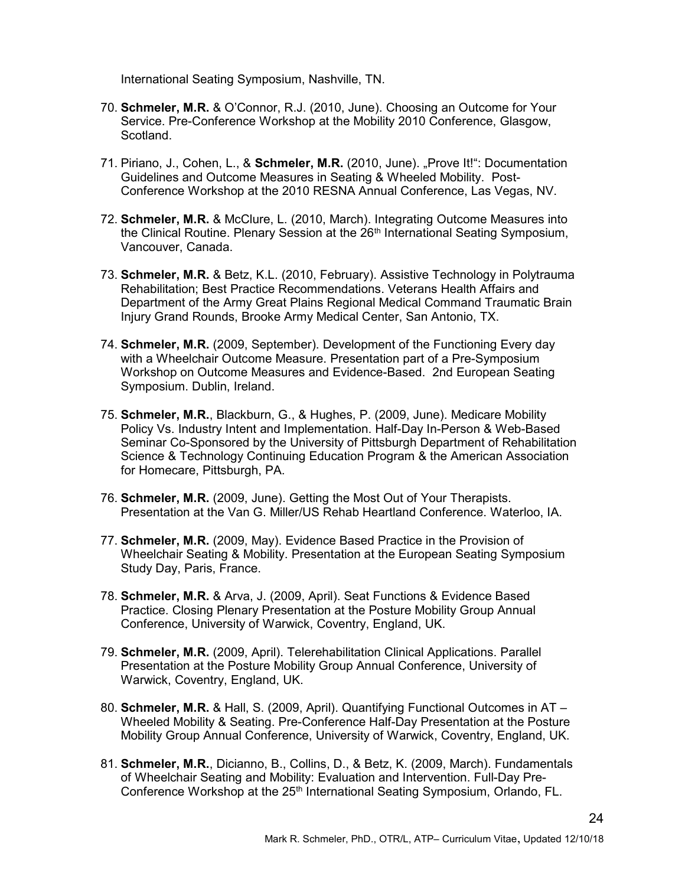International Seating Symposium, Nashville, TN.

- 70. Schmeler, M.R. & O'Connor, R.J. (2010, June). Choosing an Outcome for Your Service. Pre-Conference Workshop at the Mobility 2010 Conference, Glasgow, Scotland.
- 71. Piriano, J., Cohen, L., & Schmeler, M.R. (2010, June). "Prove It!": Documentation Guidelines and Outcome Measures in Seating & Wheeled Mobility. Post-Conference Workshop at the 2010 RESNA Annual Conference, Las Vegas, NV.
- 72. Schmeler, M.R. & McClure, L. (2010, March). Integrating Outcome Measures into the Clinical Routine. Plenary Session at the  $26<sup>th</sup>$  International Seating Symposium, Vancouver, Canada.
- 73. Schmeler, M.R. & Betz, K.L. (2010, February). Assistive Technology in Polytrauma Rehabilitation; Best Practice Recommendations. Veterans Health Affairs and Department of the Army Great Plains Regional Medical Command Traumatic Brain Injury Grand Rounds, Brooke Army Medical Center, San Antonio, TX.
- 74. Schmeler, M.R. (2009, September). Development of the Functioning Every day with a Wheelchair Outcome Measure. Presentation part of a Pre-Symposium Workshop on Outcome Measures and Evidence-Based. 2nd European Seating Symposium. Dublin, Ireland.
- 75. Schmeler, M.R., Blackburn, G., & Hughes, P. (2009, June). Medicare Mobility Policy Vs. Industry Intent and Implementation. Half-Day In-Person & Web-Based Seminar Co-Sponsored by the University of Pittsburgh Department of Rehabilitation Science & Technology Continuing Education Program & the American Association for Homecare, Pittsburgh, PA.
- 76. Schmeler, M.R. (2009, June). Getting the Most Out of Your Therapists. Presentation at the Van G. Miller/US Rehab Heartland Conference. Waterloo, IA.
- 77. Schmeler, M.R. (2009, May). Evidence Based Practice in the Provision of Wheelchair Seating & Mobility. Presentation at the European Seating Symposium Study Day, Paris, France.
- 78. Schmeler, M.R. & Arva, J. (2009, April). Seat Functions & Evidence Based Practice. Closing Plenary Presentation at the Posture Mobility Group Annual Conference, University of Warwick, Coventry, England, UK.
- 79. Schmeler, M.R. (2009, April). Telerehabilitation Clinical Applications. Parallel Presentation at the Posture Mobility Group Annual Conference, University of Warwick, Coventry, England, UK.
- 80. Schmeler, M.R. & Hall, S. (2009, April). Quantifying Functional Outcomes in AT -Wheeled Mobility & Seating. Pre-Conference Half-Day Presentation at the Posture Mobility Group Annual Conference, University of Warwick, Coventry, England, UK.
- 81. Schmeler, M.R., Dicianno, B., Collins, D., & Betz, K. (2009, March). Fundamentals of Wheelchair Seating and Mobility: Evaluation and Intervention. Full-Day Pre-Conference Workshop at the 25<sup>th</sup> International Seating Symposium, Orlando, FL.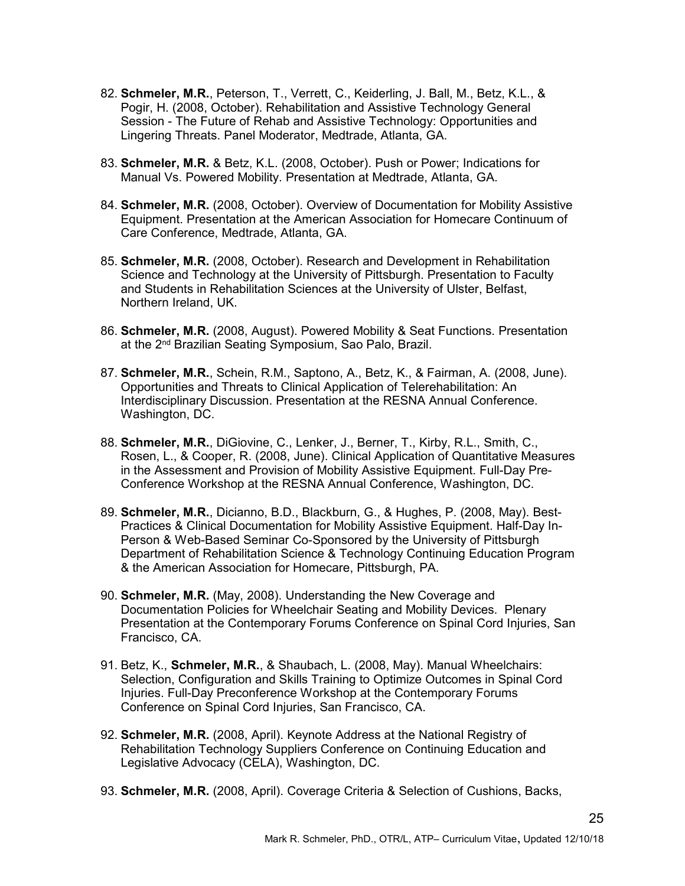- 82. Schmeler, M.R., Peterson, T., Verrett, C., Keiderling, J. Ball, M., Betz, K.L., & Pogir, H. (2008, October). Rehabilitation and Assistive Technology General Session - The Future of Rehab and Assistive Technology: Opportunities and Lingering Threats. Panel Moderator, Medtrade, Atlanta, GA.
- 83. Schmeler, M.R. & Betz, K.L. (2008, October). Push or Power; Indications for Manual Vs. Powered Mobility. Presentation at Medtrade, Atlanta, GA.
- 84. Schmeler, M.R. (2008, October). Overview of Documentation for Mobility Assistive Equipment. Presentation at the American Association for Homecare Continuum of Care Conference, Medtrade, Atlanta, GA.
- 85. Schmeler, M.R. (2008, October). Research and Development in Rehabilitation Science and Technology at the University of Pittsburgh. Presentation to Faculty and Students in Rehabilitation Sciences at the University of Ulster, Belfast, Northern Ireland, UK.
- 86. Schmeler, M.R. (2008, August). Powered Mobility & Seat Functions. Presentation at the 2<sup>nd</sup> Brazilian Seating Symposium, Sao Palo, Brazil.
- 87. Schmeler, M.R., Schein, R.M., Saptono, A., Betz, K., & Fairman, A. (2008, June). Opportunities and Threats to Clinical Application of Telerehabilitation: An Interdisciplinary Discussion. Presentation at the RESNA Annual Conference. Washington, DC.
- 88. Schmeler, M.R., DiGiovine, C., Lenker, J., Berner, T., Kirby, R.L., Smith, C., Rosen, L., & Cooper, R. (2008, June). Clinical Application of Quantitative Measures in the Assessment and Provision of Mobility Assistive Equipment. Full-Day Pre-Conference Workshop at the RESNA Annual Conference, Washington, DC.
- 89. Schmeler, M.R., Dicianno, B.D., Blackburn, G., & Hughes, P. (2008, May). Best-Practices & Clinical Documentation for Mobility Assistive Equipment. Half-Day In-Person & Web-Based Seminar Co-Sponsored by the University of Pittsburgh Department of Rehabilitation Science & Technology Continuing Education Program & the American Association for Homecare, Pittsburgh, PA.
- 90. Schmeler, M.R. (May, 2008). Understanding the New Coverage and Documentation Policies for Wheelchair Seating and Mobility Devices. Plenary Presentation at the Contemporary Forums Conference on Spinal Cord Injuries, San Francisco, CA.
- 91. Betz, K., Schmeler, M.R., & Shaubach, L. (2008, May). Manual Wheelchairs: Selection, Configuration and Skills Training to Optimize Outcomes in Spinal Cord Injuries. Full-Day Preconference Workshop at the Contemporary Forums Conference on Spinal Cord Injuries, San Francisco, CA.
- 92. Schmeler, M.R. (2008, April). Keynote Address at the National Registry of Rehabilitation Technology Suppliers Conference on Continuing Education and Legislative Advocacy (CELA), Washington, DC.
- 93. Schmeler, M.R. (2008, April). Coverage Criteria & Selection of Cushions, Backs,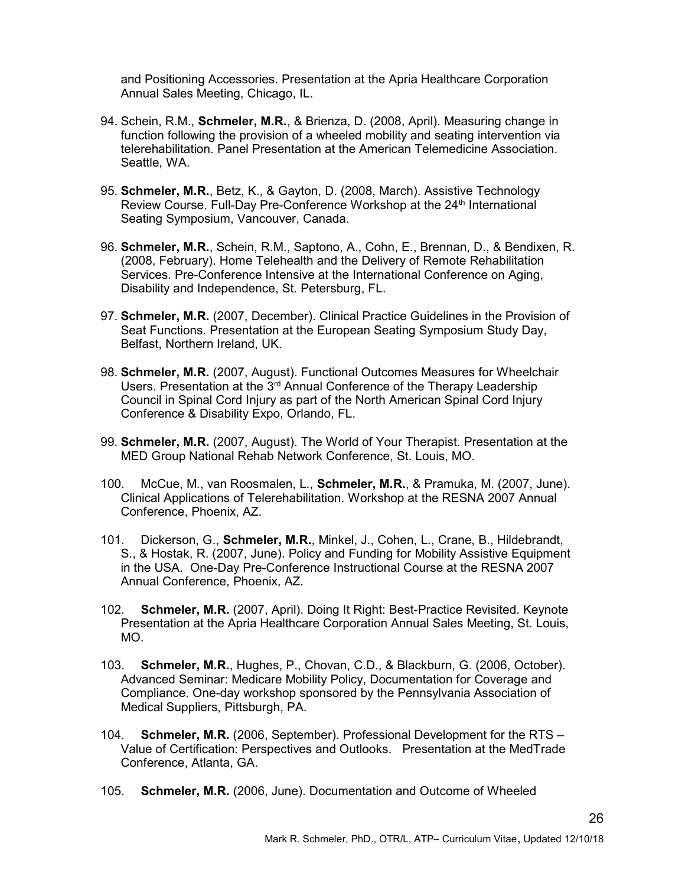and Positioning Accessories. Presentation at the Apria Healthcare Corporation Annual Sales Meeting, Chicago, IL.

- 94. Schein, R.M., Schmeler, M.R., & Brienza, D. (2008, April). Measuring change in function following the provision of a wheeled mobility and seating intervention via telerehabilitation. Panel Presentation at the American Telemedicine Association. Seattle, WA.
- 95. Schmeler, M.R., Betz, K., & Gayton, D. (2008, March). Assistive Technology Review Course. Full-Day Pre-Conference Workshop at the 24<sup>th</sup> International Seating Symposium, Vancouver, Canada.
- 96. Schmeler, M.R., Schein, R.M., Saptono, A., Cohn, E., Brennan, D., & Bendixen, R. (2008, February). Home Telehealth and the Delivery of Remote Rehabilitation Services. Pre-Conference Intensive at the International Conference on Aging, Disability and Independence, St. Petersburg, FL.
- 97. Schmeler, M.R. (2007, December). Clinical Practice Guidelines in the Provision of Seat Functions. Presentation at the European Seating Symposium Study Day, Belfast, Northern Ireland, UK.
- 98. Schmeler, M.R. (2007, August). Functional Outcomes Measures for Wheelchair Users. Presentation at the 3<sup>rd</sup> Annual Conference of the Therapy Leadership Council in Spinal Cord Injury as part of the North American Spinal Cord Injury Conference & Disability Expo, Orlando, FL.
- 99. Schmeler, M.R. (2007, August). The World of Your Therapist. Presentation at the MED Group National Rehab Network Conference, St. Louis, MO.
- 100. McCue, M., van Roosmalen, L., Schmeler, M.R., & Pramuka, M. (2007, June). Clinical Applications of Telerehabilitation. Workshop at the RESNA 2007 Annual Conference, Phoenix, AZ.
- 101. Dickerson, G., Schmeler, M.R., Minkel, J., Cohen, L., Crane, B., Hildebrandt, S., & Hostak, R. (2007, June). Policy and Funding for Mobility Assistive Equipment in the USA. One-Day Pre-Conference Instructional Course at the RESNA 2007 Annual Conference, Phoenix, AZ.
- 102. Schmeler, M.R. (2007, April). Doing It Right: Best-Practice Revisited. Keynote Presentation at the Apria Healthcare Corporation Annual Sales Meeting, St. Louis, MO.
- 103. Schmeler, M.R., Hughes, P., Chovan, C.D., & Blackburn, G. (2006, October). Advanced Seminar: Medicare Mobility Policy, Documentation for Coverage and Compliance. One-day workshop sponsored by the Pennsylvania Association of Medical Suppliers, Pittsburgh, PA.
- 104. Schmeler, M.R. (2006, September). Professional Development for the RTS Value of Certification: Perspectives and Outlooks. Presentation at the MedTrade Conference, Atlanta, GA.
- 105. Schmeler, M.R. (2006, June). Documentation and Outcome of Wheeled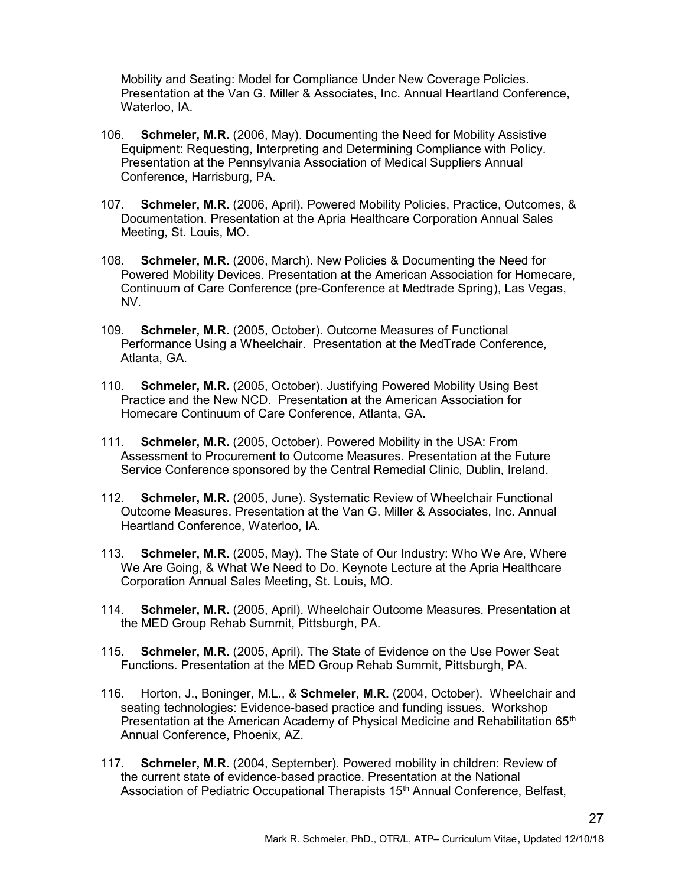Mobility and Seating: Model for Compliance Under New Coverage Policies. Presentation at the Van G. Miller & Associates, Inc. Annual Heartland Conference, Waterloo, IA.

- 106. Schmeler, M.R. (2006, May). Documenting the Need for Mobility Assistive Equipment: Requesting, Interpreting and Determining Compliance with Policy. Presentation at the Pennsylvania Association of Medical Suppliers Annual Conference, Harrisburg, PA.
- 107. Schmeler, M.R. (2006, April). Powered Mobility Policies, Practice, Outcomes, & Documentation. Presentation at the Apria Healthcare Corporation Annual Sales Meeting, St. Louis, MO.
- 108. Schmeler, M.R. (2006, March). New Policies & Documenting the Need for Powered Mobility Devices. Presentation at the American Association for Homecare, Continuum of Care Conference (pre-Conference at Medtrade Spring), Las Vegas, NV.
- 109. Schmeler, M.R. (2005, October). Outcome Measures of Functional Performance Using a Wheelchair. Presentation at the MedTrade Conference, Atlanta, GA.
- 110. Schmeler, M.R. (2005, October). Justifying Powered Mobility Using Best Practice and the New NCD. Presentation at the American Association for Homecare Continuum of Care Conference, Atlanta, GA.
- 111. Schmeler, M.R. (2005, October). Powered Mobility in the USA: From Assessment to Procurement to Outcome Measures. Presentation at the Future Service Conference sponsored by the Central Remedial Clinic, Dublin, Ireland.
- 112. Schmeler, M.R. (2005, June). Systematic Review of Wheelchair Functional Outcome Measures. Presentation at the Van G. Miller & Associates, Inc. Annual Heartland Conference, Waterloo, IA.
- 113. Schmeler, M.R. (2005, May). The State of Our Industry: Who We Are, Where We Are Going, & What We Need to Do. Keynote Lecture at the Apria Healthcare Corporation Annual Sales Meeting, St. Louis, MO.
- 114. Schmeler, M.R. (2005, April). Wheelchair Outcome Measures. Presentation at the MED Group Rehab Summit, Pittsburgh, PA.
- 115. Schmeler, M.R. (2005, April). The State of Evidence on the Use Power Seat Functions. Presentation at the MED Group Rehab Summit, Pittsburgh, PA.
- 116. Horton, J., Boninger, M.L., & Schmeler, M.R. (2004, October). Wheelchair and seating technologies: Evidence-based practice and funding issues. Workshop Presentation at the American Academy of Physical Medicine and Rehabilitation 65<sup>th</sup> Annual Conference, Phoenix, AZ.
- 117. Schmeler, M.R. (2004, September). Powered mobility in children: Review of the current state of evidence-based practice. Presentation at the National Association of Pediatric Occupational Therapists 15<sup>th</sup> Annual Conference, Belfast,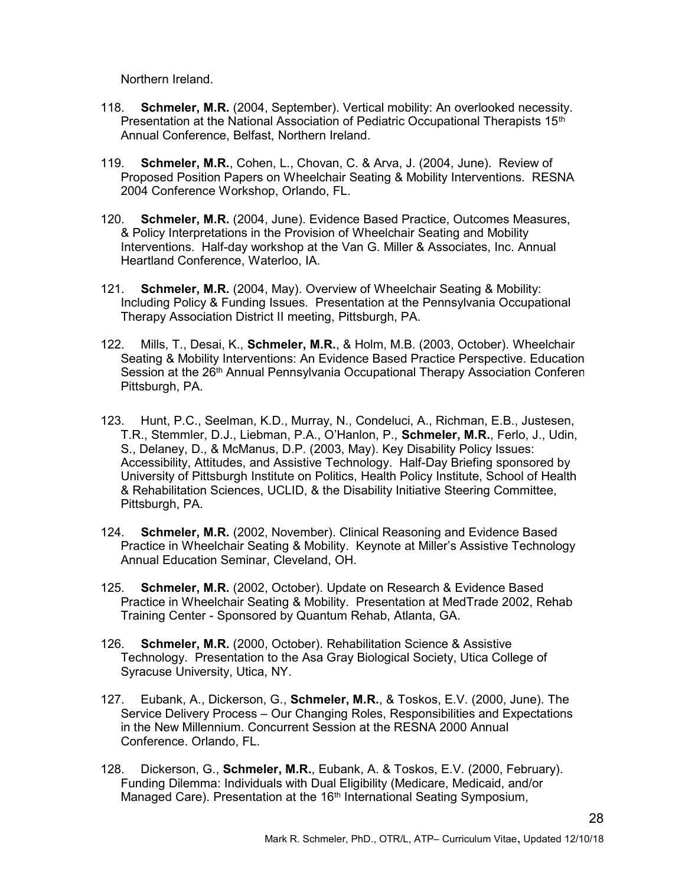Northern Ireland.

- 118. Schmeler, M.R. (2004, September). Vertical mobility: An overlooked necessity. Presentation at the National Association of Pediatric Occupational Therapists  $15<sup>th</sup>$ Annual Conference, Belfast, Northern Ireland.
- 119. Schmeler, M.R., Cohen, L., Chovan, C. & Arva, J. (2004, June). Review of Proposed Position Papers on Wheelchair Seating & Mobility Interventions. RESNA 2004 Conference Workshop, Orlando, FL.
- 120. Schmeler, M.R. (2004, June). Evidence Based Practice, Outcomes Measures, & Policy Interpretations in the Provision of Wheelchair Seating and Mobility Interventions. Half-day workshop at the Van G. Miller & Associates, Inc. Annual Heartland Conference, Waterloo, IA.
- 121. Schmeler, M.R. (2004, May). Overview of Wheelchair Seating & Mobility: Including Policy & Funding Issues. Presentation at the Pennsylvania Occupational Therapy Association District II meeting, Pittsburgh, PA.
- 122. Mills, T., Desai, K., Schmeler, M.R., & Holm, M.B. (2003, October). Wheelchair Seating & Mobility Interventions: An Evidence Based Practice Perspective. Education Session at the 26<sup>th</sup> Annual Pennsylvania Occupational Therapy Association Conferen Pittsburgh, PA.
- 123. Hunt, P.C., Seelman, K.D., Murray, N., Condeluci, A., Richman, E.B., Justesen, T.R., Stemmler, D.J., Liebman, P.A., O'Hanlon, P., Schmeler, M.R., Ferlo, J., Udin, S., Delaney, D., & McManus, D.P. (2003, May). Key Disability Policy Issues: Accessibility, Attitudes, and Assistive Technology. Half-Day Briefing sponsored by University of Pittsburgh Institute on Politics, Health Policy Institute, School of Health & Rehabilitation Sciences, UCLID, & the Disability Initiative Steering Committee, Pittsburgh, PA.
- 124. Schmeler, M.R. (2002, November). Clinical Reasoning and Evidence Based Practice in Wheelchair Seating & Mobility. Keynote at Miller's Assistive Technology Annual Education Seminar, Cleveland, OH.
- 125. Schmeler, M.R. (2002, October). Update on Research & Evidence Based Practice in Wheelchair Seating & Mobility. Presentation at MedTrade 2002, Rehab Training Center - Sponsored by Quantum Rehab, Atlanta, GA.
- 126. Schmeler, M.R. (2000, October). Rehabilitation Science & Assistive Technology. Presentation to the Asa Gray Biological Society, Utica College of Syracuse University, Utica, NY.
- 127. Eubank, A., Dickerson, G., Schmeler, M.R., & Toskos, E.V. (2000, June). The Service Delivery Process – Our Changing Roles, Responsibilities and Expectations in the New Millennium. Concurrent Session at the RESNA 2000 Annual Conference. Orlando, FL.
- 128. Dickerson, G., Schmeler, M.R., Eubank, A. & Toskos, E.V. (2000, February). Funding Dilemma: Individuals with Dual Eligibility (Medicare, Medicaid, and/or Managed Care). Presentation at the 16<sup>th</sup> International Seating Symposium,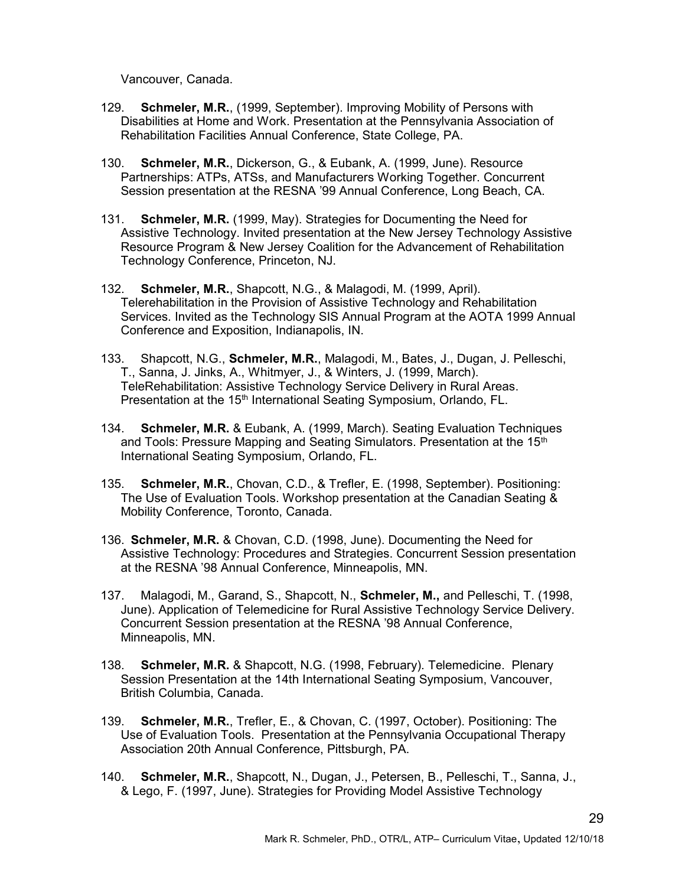Vancouver, Canada.

- 129. Schmeler, M.R., (1999, September). Improving Mobility of Persons with Disabilities at Home and Work. Presentation at the Pennsylvania Association of Rehabilitation Facilities Annual Conference, State College, PA.
- 130. Schmeler, M.R., Dickerson, G., & Eubank, A. (1999, June). Resource Partnerships: ATPs, ATSs, and Manufacturers Working Together. Concurrent Session presentation at the RESNA '99 Annual Conference, Long Beach, CA.
- 131. Schmeler, M.R. (1999, May). Strategies for Documenting the Need for Assistive Technology. Invited presentation at the New Jersey Technology Assistive Resource Program & New Jersey Coalition for the Advancement of Rehabilitation Technology Conference, Princeton, NJ.
- 132. Schmeler, M.R., Shapcott, N.G., & Malagodi, M. (1999, April). Telerehabilitation in the Provision of Assistive Technology and Rehabilitation Services. Invited as the Technology SIS Annual Program at the AOTA 1999 Annual Conference and Exposition, Indianapolis, IN.
- 133. Shapcott, N.G., Schmeler, M.R., Malagodi, M., Bates, J., Dugan, J. Pelleschi, T., Sanna, J. Jinks, A., Whitmyer, J., & Winters, J. (1999, March). TeleRehabilitation: Assistive Technology Service Delivery in Rural Areas. Presentation at the 15<sup>th</sup> International Seating Symposium, Orlando, FL.
- 134. Schmeler, M.R. & Eubank, A. (1999, March). Seating Evaluation Techniques and Tools: Pressure Mapping and Seating Simulators. Presentation at the 15<sup>th</sup> International Seating Symposium, Orlando, FL.
- 135. Schmeler, M.R., Chovan, C.D., & Trefler, E. (1998, September). Positioning: The Use of Evaluation Tools. Workshop presentation at the Canadian Seating & Mobility Conference, Toronto, Canada.
- 136. Schmeler, M.R. & Chovan, C.D. (1998, June). Documenting the Need for Assistive Technology: Procedures and Strategies. Concurrent Session presentation at the RESNA '98 Annual Conference, Minneapolis, MN.
- 137. Malagodi, M., Garand, S., Shapcott, N., Schmeler, M., and Pelleschi, T. (1998, June). Application of Telemedicine for Rural Assistive Technology Service Delivery. Concurrent Session presentation at the RESNA '98 Annual Conference, Minneapolis, MN.
- 138. Schmeler, M.R. & Shapcott, N.G. (1998, February). Telemedicine. Plenary Session Presentation at the 14th International Seating Symposium, Vancouver, British Columbia, Canada.
- 139. Schmeler, M.R., Trefler, E., & Chovan, C. (1997, October). Positioning: The Use of Evaluation Tools. Presentation at the Pennsylvania Occupational Therapy Association 20th Annual Conference, Pittsburgh, PA.
- 140. Schmeler, M.R., Shapcott, N., Dugan, J., Petersen, B., Pelleschi, T., Sanna, J., & Lego, F. (1997, June). Strategies for Providing Model Assistive Technology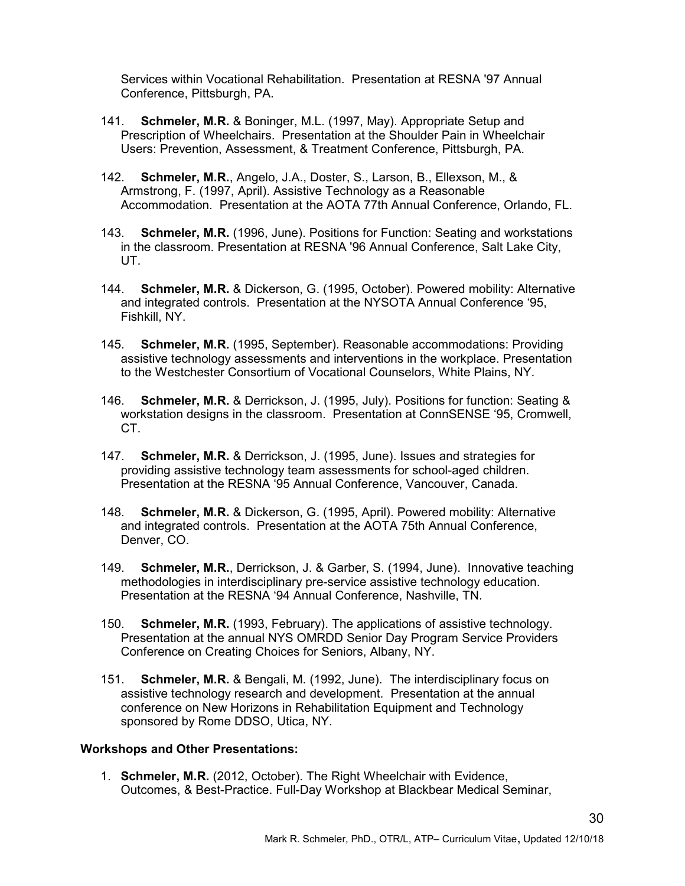Services within Vocational Rehabilitation. Presentation at RESNA '97 Annual Conference, Pittsburgh, PA.

- 141. Schmeler, M.R. & Boninger, M.L. (1997, May). Appropriate Setup and Prescription of Wheelchairs. Presentation at the Shoulder Pain in Wheelchair Users: Prevention, Assessment, & Treatment Conference, Pittsburgh, PA.
- 142. Schmeler, M.R., Angelo, J.A., Doster, S., Larson, B., Ellexson, M., & Armstrong, F. (1997, April). Assistive Technology as a Reasonable Accommodation. Presentation at the AOTA 77th Annual Conference, Orlando, FL.
- 143. Schmeler, M.R. (1996, June). Positions for Function: Seating and workstations in the classroom. Presentation at RESNA '96 Annual Conference, Salt Lake City, UT.
- 144. Schmeler, M.R. & Dickerson, G. (1995, October). Powered mobility: Alternative and integrated controls. Presentation at the NYSOTA Annual Conference '95, Fishkill, NY.
- 145. Schmeler, M.R. (1995, September). Reasonable accommodations: Providing assistive technology assessments and interventions in the workplace. Presentation to the Westchester Consortium of Vocational Counselors, White Plains, NY.
- 146. Schmeler, M.R. & Derrickson, J. (1995, July). Positions for function: Seating & workstation designs in the classroom. Presentation at ConnSENSE '95, Cromwell, CT.
- 147. Schmeler, M.R. & Derrickson, J. (1995, June). Issues and strategies for providing assistive technology team assessments for school-aged children. Presentation at the RESNA '95 Annual Conference, Vancouver, Canada.
- 148. Schmeler, M.R. & Dickerson, G. (1995, April). Powered mobility: Alternative and integrated controls. Presentation at the AOTA 75th Annual Conference, Denver, CO.
- 149. Schmeler, M.R., Derrickson, J. & Garber, S. (1994, June). Innovative teaching methodologies in interdisciplinary pre-service assistive technology education. Presentation at the RESNA '94 Annual Conference, Nashville, TN.
- 150. Schmeler, M.R. (1993, February). The applications of assistive technology. Presentation at the annual NYS OMRDD Senior Day Program Service Providers Conference on Creating Choices for Seniors, Albany, NY.
- 151. Schmeler, M.R. & Bengali, M. (1992, June). The interdisciplinary focus on assistive technology research and development. Presentation at the annual conference on New Horizons in Rehabilitation Equipment and Technology sponsored by Rome DDSO, Utica, NY.

#### Workshops and Other Presentations:

1. Schmeler, M.R. (2012, October). The Right Wheelchair with Evidence, Outcomes, & Best-Practice. Full-Day Workshop at Blackbear Medical Seminar,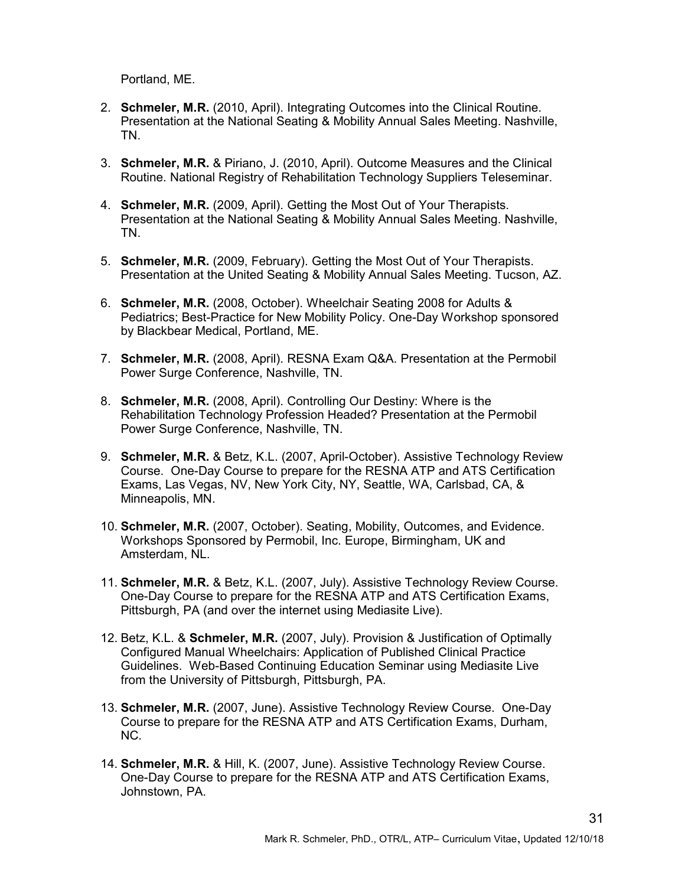Portland, ME.

- 2. Schmeler, M.R. (2010, April). Integrating Outcomes into the Clinical Routine. Presentation at the National Seating & Mobility Annual Sales Meeting. Nashville, TN.
- 3. Schmeler, M.R. & Piriano, J. (2010, April). Outcome Measures and the Clinical Routine. National Registry of Rehabilitation Technology Suppliers Teleseminar.
- 4. Schmeler, M.R. (2009, April). Getting the Most Out of Your Therapists. Presentation at the National Seating & Mobility Annual Sales Meeting. Nashville, TN.
- 5. Schmeler, M.R. (2009, February). Getting the Most Out of Your Therapists. Presentation at the United Seating & Mobility Annual Sales Meeting. Tucson, AZ.
- 6. Schmeler, M.R. (2008, October). Wheelchair Seating 2008 for Adults & Pediatrics; Best-Practice for New Mobility Policy. One-Day Workshop sponsored by Blackbear Medical, Portland, ME.
- 7. Schmeler, M.R. (2008, April). RESNA Exam Q&A. Presentation at the Permobil Power Surge Conference, Nashville, TN.
- 8. Schmeler, M.R. (2008, April). Controlling Our Destiny: Where is the Rehabilitation Technology Profession Headed? Presentation at the Permobil Power Surge Conference, Nashville, TN.
- 9. **Schmeler, M.R.** & Betz, K.L. (2007, April-October). Assistive Technology Review Course. One-Day Course to prepare for the RESNA ATP and ATS Certification Exams, Las Vegas, NV, New York City, NY, Seattle, WA, Carlsbad, CA, & Minneapolis, MN.
- 10. Schmeler, M.R. (2007, October). Seating, Mobility, Outcomes, and Evidence. Workshops Sponsored by Permobil, Inc. Europe, Birmingham, UK and Amsterdam, NL.
- 11. Schmeler, M.R. & Betz, K.L. (2007, July). Assistive Technology Review Course. One-Day Course to prepare for the RESNA ATP and ATS Certification Exams, Pittsburgh, PA (and over the internet using Mediasite Live).
- 12. Betz, K.L. & Schmeler, M.R. (2007, July). Provision & Justification of Optimally Configured Manual Wheelchairs: Application of Published Clinical Practice Guidelines. Web-Based Continuing Education Seminar using Mediasite Live from the University of Pittsburgh, Pittsburgh, PA.
- 13. Schmeler, M.R. (2007, June). Assistive Technology Review Course. One-Day Course to prepare for the RESNA ATP and ATS Certification Exams, Durham, NC.
- 14. Schmeler, M.R. & Hill, K. (2007, June). Assistive Technology Review Course. One-Day Course to prepare for the RESNA ATP and ATS Certification Exams, Johnstown, PA.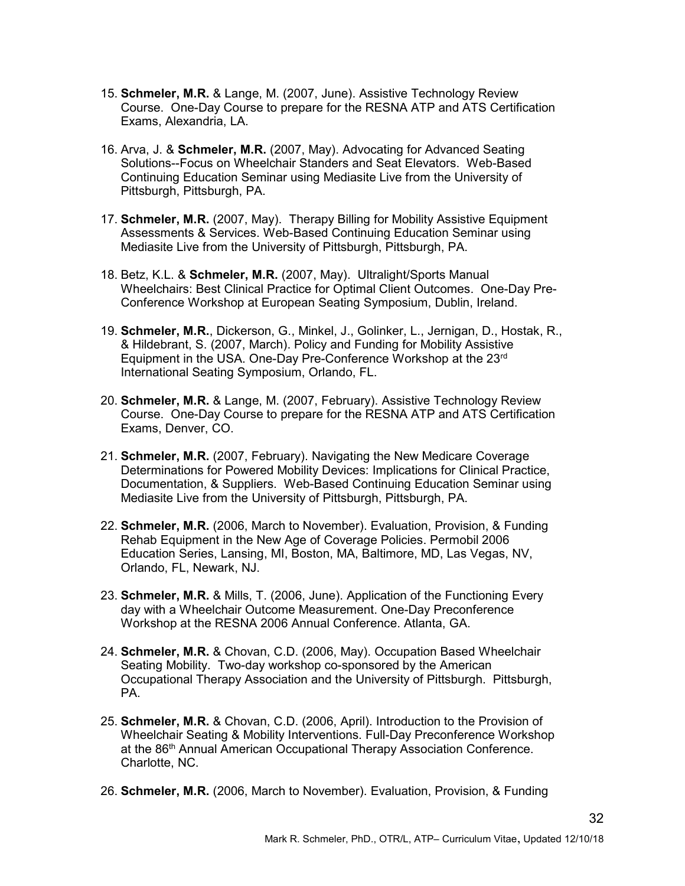- 15. Schmeler, M.R. & Lange, M. (2007, June). Assistive Technology Review Course. One-Day Course to prepare for the RESNA ATP and ATS Certification Exams, Alexandria, LA.
- 16. Arva, J. & Schmeler, M.R. (2007, May). Advocating for Advanced Seating Solutions--Focus on Wheelchair Standers and Seat Elevators. Web-Based Continuing Education Seminar using Mediasite Live from the University of Pittsburgh, Pittsburgh, PA.
- 17. Schmeler, M.R. (2007, May). Therapy Billing for Mobility Assistive Equipment Assessments & Services. Web-Based Continuing Education Seminar using Mediasite Live from the University of Pittsburgh, Pittsburgh, PA.
- 18. Betz, K.L. & Schmeler, M.R. (2007, May). Ultralight/Sports Manual Wheelchairs: Best Clinical Practice for Optimal Client Outcomes. One-Day Pre-Conference Workshop at European Seating Symposium, Dublin, Ireland.
- 19. Schmeler, M.R., Dickerson, G., Minkel, J., Golinker, L., Jernigan, D., Hostak, R., & Hildebrant, S. (2007, March). Policy and Funding for Mobility Assistive Equipment in the USA. One-Day Pre-Conference Workshop at the 23rd International Seating Symposium, Orlando, FL.
- 20. Schmeler, M.R. & Lange, M. (2007, February). Assistive Technology Review Course. One-Day Course to prepare for the RESNA ATP and ATS Certification Exams, Denver, CO.
- 21. Schmeler, M.R. (2007, February). Navigating the New Medicare Coverage Determinations for Powered Mobility Devices: Implications for Clinical Practice, Documentation, & Suppliers. Web-Based Continuing Education Seminar using Mediasite Live from the University of Pittsburgh, Pittsburgh, PA.
- 22. Schmeler, M.R. (2006, March to November). Evaluation, Provision, & Funding Rehab Equipment in the New Age of Coverage Policies. Permobil 2006 Education Series, Lansing, MI, Boston, MA, Baltimore, MD, Las Vegas, NV, Orlando, FL, Newark, NJ.
- 23. Schmeler, M.R. & Mills, T. (2006, June). Application of the Functioning Every day with a Wheelchair Outcome Measurement. One-Day Preconference Workshop at the RESNA 2006 Annual Conference. Atlanta, GA.
- 24. Schmeler, M.R. & Chovan, C.D. (2006, May). Occupation Based Wheelchair Seating Mobility. Two-day workshop co-sponsored by the American Occupational Therapy Association and the University of Pittsburgh. Pittsburgh, PA.
- 25. Schmeler, M.R. & Chovan, C.D. (2006, April). Introduction to the Provision of Wheelchair Seating & Mobility Interventions. Full-Day Preconference Workshop at the 86<sup>th</sup> Annual American Occupational Therapy Association Conference. Charlotte, NC.
- 26. Schmeler, M.R. (2006, March to November). Evaluation, Provision, & Funding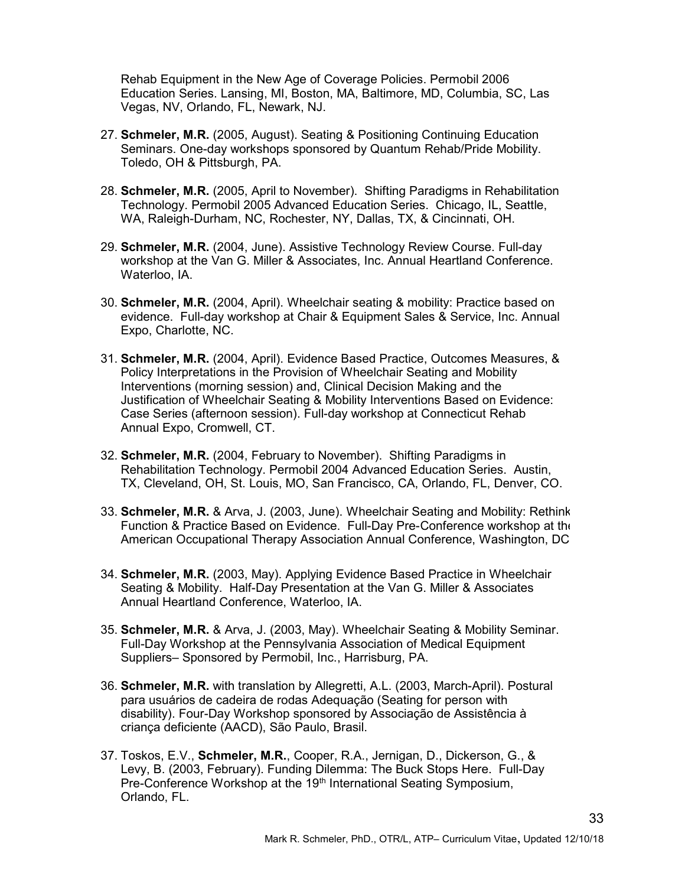Rehab Equipment in the New Age of Coverage Policies. Permobil 2006 Education Series. Lansing, MI, Boston, MA, Baltimore, MD, Columbia, SC, Las Vegas, NV, Orlando, FL, Newark, NJ.

- 27. Schmeler, M.R. (2005, August). Seating & Positioning Continuing Education Seminars. One-day workshops sponsored by Quantum Rehab/Pride Mobility. Toledo, OH & Pittsburgh, PA.
- 28. Schmeler, M.R. (2005, April to November). Shifting Paradigms in Rehabilitation Technology. Permobil 2005 Advanced Education Series. Chicago, IL, Seattle, WA, Raleigh-Durham, NC, Rochester, NY, Dallas, TX, & Cincinnati, OH.
- 29. Schmeler, M.R. (2004, June). Assistive Technology Review Course. Full-day workshop at the Van G. Miller & Associates, Inc. Annual Heartland Conference. Waterloo, IA.
- 30. Schmeler, M.R. (2004, April). Wheelchair seating & mobility: Practice based on evidence. Full-day workshop at Chair & Equipment Sales & Service, Inc. Annual Expo, Charlotte, NC.
- 31. Schmeler, M.R. (2004, April). Evidence Based Practice, Outcomes Measures, & Policy Interpretations in the Provision of Wheelchair Seating and Mobility Interventions (morning session) and, Clinical Decision Making and the Justification of Wheelchair Seating & Mobility Interventions Based on Evidence: Case Series (afternoon session). Full-day workshop at Connecticut Rehab Annual Expo, Cromwell, CT.
- 32. Schmeler, M.R. (2004, February to November). Shifting Paradigms in Rehabilitation Technology. Permobil 2004 Advanced Education Series. Austin, TX, Cleveland, OH, St. Louis, MO, San Francisco, CA, Orlando, FL, Denver, CO.
- 33. Schmeler, M.R. & Arva, J. (2003, June). Wheelchair Seating and Mobility: Rethink Function & Practice Based on Evidence. Full-Day Pre-Conference workshop at the American Occupational Therapy Association Annual Conference, Washington, DC.
- 34. Schmeler, M.R. (2003, May). Applying Evidence Based Practice in Wheelchair Seating & Mobility. Half-Day Presentation at the Van G. Miller & Associates Annual Heartland Conference, Waterloo, IA.
- 35. Schmeler, M.R. & Arva, J. (2003, May). Wheelchair Seating & Mobility Seminar. Full-Day Workshop at the Pennsylvania Association of Medical Equipment Suppliers– Sponsored by Permobil, Inc., Harrisburg, PA.
- 36. Schmeler, M.R. with translation by Allegretti, A.L. (2003, March-April). Postural para usuários de cadeira de rodas Adequação (Seating for person with disability). Four-Day Workshop sponsored by Associação de Assistência à criança deficiente (AACD), São Paulo, Brasil.
- 37. Toskos, E.V., Schmeler, M.R., Cooper, R.A., Jernigan, D., Dickerson, G., & Levy, B. (2003, February). Funding Dilemma: The Buck Stops Here. Full-Day Pre-Conference Workshop at the 19<sup>th</sup> International Seating Symposium, Orlando, FL.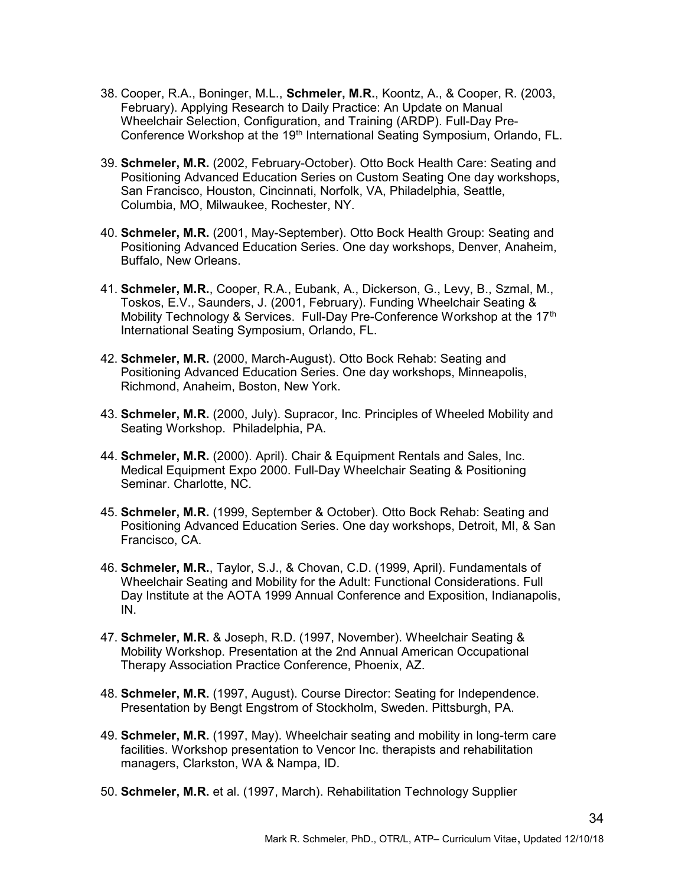- 38. Cooper, R.A., Boninger, M.L., Schmeler, M.R., Koontz, A., & Cooper, R. (2003, February). Applying Research to Daily Practice: An Update on Manual Wheelchair Selection, Configuration, and Training (ARDP). Full-Day Pre-Conference Workshop at the 19<sup>th</sup> International Seating Symposium, Orlando, FL.
- 39. Schmeler, M.R. (2002, February-October). Otto Bock Health Care: Seating and Positioning Advanced Education Series on Custom Seating One day workshops, San Francisco, Houston, Cincinnati, Norfolk, VA, Philadelphia, Seattle, Columbia, MO, Milwaukee, Rochester, NY.
- 40. Schmeler, M.R. (2001, May-September). Otto Bock Health Group: Seating and Positioning Advanced Education Series. One day workshops, Denver, Anaheim, Buffalo, New Orleans.
- 41. Schmeler, M.R., Cooper, R.A., Eubank, A., Dickerson, G., Levy, B., Szmal, M., Toskos, E.V., Saunders, J. (2001, February). Funding Wheelchair Seating & Mobility Technology & Services. Full-Day Pre-Conference Workshop at the 17<sup>th</sup> International Seating Symposium, Orlando, FL.
- 42. Schmeler, M.R. (2000, March-August). Otto Bock Rehab: Seating and Positioning Advanced Education Series. One day workshops, Minneapolis, Richmond, Anaheim, Boston, New York.
- 43. Schmeler, M.R. (2000, July). Supracor, Inc. Principles of Wheeled Mobility and Seating Workshop. Philadelphia, PA.
- 44. Schmeler, M.R. (2000). April). Chair & Equipment Rentals and Sales, Inc. Medical Equipment Expo 2000. Full-Day Wheelchair Seating & Positioning Seminar. Charlotte, NC.
- 45. Schmeler, M.R. (1999, September & October). Otto Bock Rehab: Seating and Positioning Advanced Education Series. One day workshops, Detroit, MI, & San Francisco, CA.
- 46. Schmeler, M.R., Taylor, S.J., & Chovan, C.D. (1999, April). Fundamentals of Wheelchair Seating and Mobility for the Adult: Functional Considerations. Full Day Institute at the AOTA 1999 Annual Conference and Exposition, Indianapolis, IN.
- 47. Schmeler, M.R. & Joseph, R.D. (1997, November). Wheelchair Seating & Mobility Workshop. Presentation at the 2nd Annual American Occupational Therapy Association Practice Conference, Phoenix, AZ.
- 48. Schmeler, M.R. (1997, August). Course Director: Seating for Independence. Presentation by Bengt Engstrom of Stockholm, Sweden. Pittsburgh, PA.
- 49. Schmeler, M.R. (1997, May). Wheelchair seating and mobility in long-term care facilities. Workshop presentation to Vencor Inc. therapists and rehabilitation managers, Clarkston, WA & Nampa, ID.
- 50. Schmeler, M.R. et al. (1997, March). Rehabilitation Technology Supplier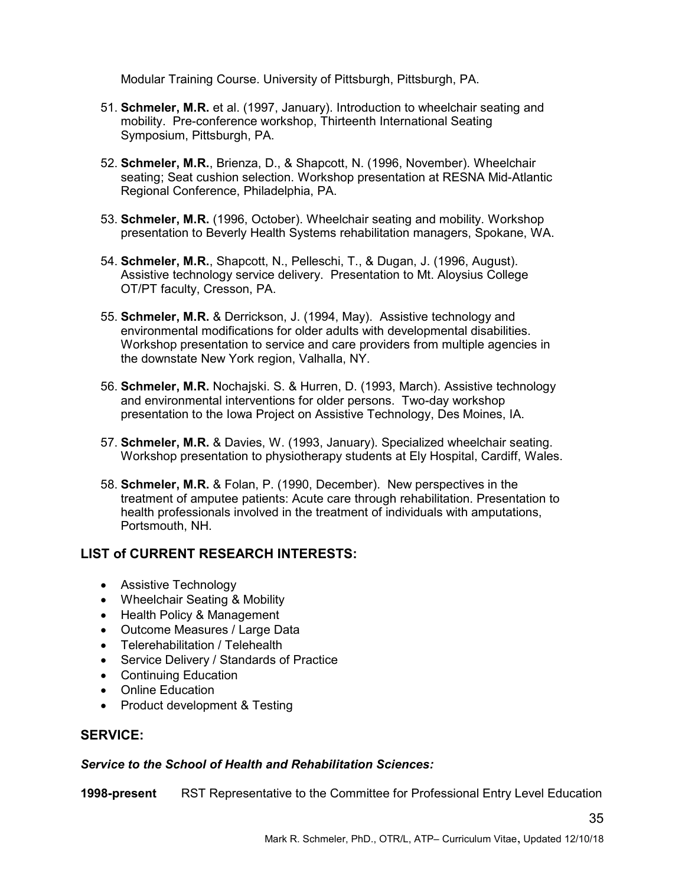Modular Training Course. University of Pittsburgh, Pittsburgh, PA.

- 51. Schmeler, M.R. et al. (1997, January). Introduction to wheelchair seating and mobility. Pre-conference workshop, Thirteenth International Seating Symposium, Pittsburgh, PA.
- 52. Schmeler, M.R., Brienza, D., & Shapcott, N. (1996, November). Wheelchair seating; Seat cushion selection. Workshop presentation at RESNA Mid-Atlantic Regional Conference, Philadelphia, PA.
- 53. Schmeler, M.R. (1996, October). Wheelchair seating and mobility. Workshop presentation to Beverly Health Systems rehabilitation managers, Spokane, WA.
- 54. Schmeler, M.R., Shapcott, N., Pelleschi, T., & Dugan, J. (1996, August). Assistive technology service delivery. Presentation to Mt. Aloysius College OT/PT faculty, Cresson, PA.
- 55. Schmeler, M.R. & Derrickson, J. (1994, May). Assistive technology and environmental modifications for older adults with developmental disabilities. Workshop presentation to service and care providers from multiple agencies in the downstate New York region, Valhalla, NY.
- 56. Schmeler, M.R. Nochajski. S. & Hurren, D. (1993, March). Assistive technology and environmental interventions for older persons. Two-day workshop presentation to the Iowa Project on Assistive Technology, Des Moines, IA.
- 57. Schmeler, M.R. & Davies, W. (1993, January). Specialized wheelchair seating. Workshop presentation to physiotherapy students at Ely Hospital, Cardiff, Wales.
- 58. Schmeler, M.R. & Folan, P. (1990, December). New perspectives in the treatment of amputee patients: Acute care through rehabilitation. Presentation to health professionals involved in the treatment of individuals with amputations, Portsmouth, NH.

# LIST of CURRENT RESEARCH INTERESTS:

- Assistive Technology
- Wheelchair Seating & Mobility
- Health Policy & Management
- Outcome Measures / Large Data
- Telerehabilitation / Telehealth
- Service Delivery / Standards of Practice
- Continuing Education
- Online Education
- Product development & Testing

# SERVICE:

## Service to the School of Health and Rehabilitation Sciences:

1998-present RST Representative to the Committee for Professional Entry Level Education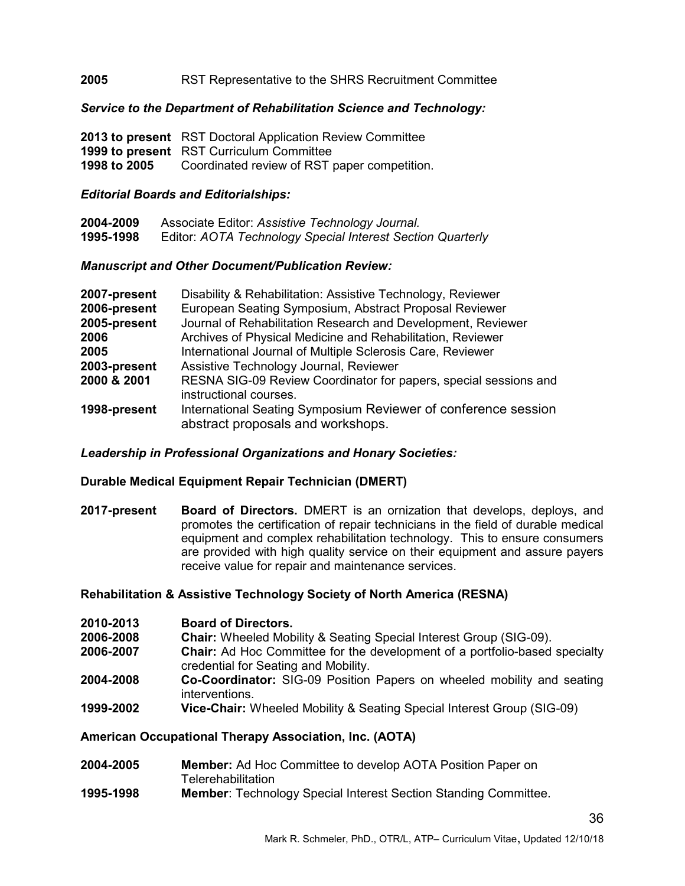#### 2005 RST Representative to the SHRS Recruitment Committee

#### Service to the Department of Rehabilitation Science and Technology:

|              | 2013 to present RST Doctoral Application Review Committee |
|--------------|-----------------------------------------------------------|
|              | <b>1999 to present</b> RST Curriculum Committee           |
| 1998 to 2005 | Coordinated review of RST paper competition.              |

#### Editorial Boards and Editorialships:

| 2004-2009 | Associate Editor: Assistive Technology Journal.            |
|-----------|------------------------------------------------------------|
| 1995-1998 | Editor: AOTA Technology Special Interest Section Quarterly |

#### Manuscript and Other Document/Publication Review:

| 2007-present | Disability & Rehabilitation: Assistive Technology, Reviewer                                         |
|--------------|-----------------------------------------------------------------------------------------------------|
| 2006-present | European Seating Symposium, Abstract Proposal Reviewer                                              |
| 2005-present | Journal of Rehabilitation Research and Development, Reviewer                                        |
| 2006         | Archives of Physical Medicine and Rehabilitation, Reviewer                                          |
| 2005         | International Journal of Multiple Sclerosis Care, Reviewer                                          |
| 2003-present | Assistive Technology Journal, Reviewer                                                              |
| 2000 & 2001  | RESNA SIG-09 Review Coordinator for papers, special sessions and<br>instructional courses.          |
| 1998-present | International Seating Symposium Reviewer of conference session<br>abstract proposals and workshops. |

## Leadership in Professional Organizations and Honary Societies:

#### Durable Medical Equipment Repair Technician (DMERT)

2017-present Board of Directors. DMERT is an ornization that develops, deploys, and promotes the certification of repair technicians in the field of durable medical equipment and complex rehabilitation technology. This to ensure consumers are provided with high quality service on their equipment and assure payers receive value for repair and maintenance services.

#### Rehabilitation & Assistive Technology Society of North America (RESNA)

- 2010-2013 Board of Directors.
- 2006-2008 Chair: Wheeled Mobility & Seating Special Interest Group (SIG-09).
- 2006-2007 Chair: Ad Hoc Committee for the development of a portfolio-based specialty credential for Seating and Mobility.
- 2004-2008 Co-Coordinator: SIG-09 Position Papers on wheeled mobility and seating interventions.
- 1999-2002 Vice-Chair: Wheeled Mobility & Seating Special Interest Group (SIG-09)

## American Occupational Therapy Association, Inc. (AOTA)

- 2004-2005 Member: Ad Hoc Committee to develop AOTA Position Paper on **Telerehabilitation**
- 1995-1998 Member: Technology Special Interest Section Standing Committee.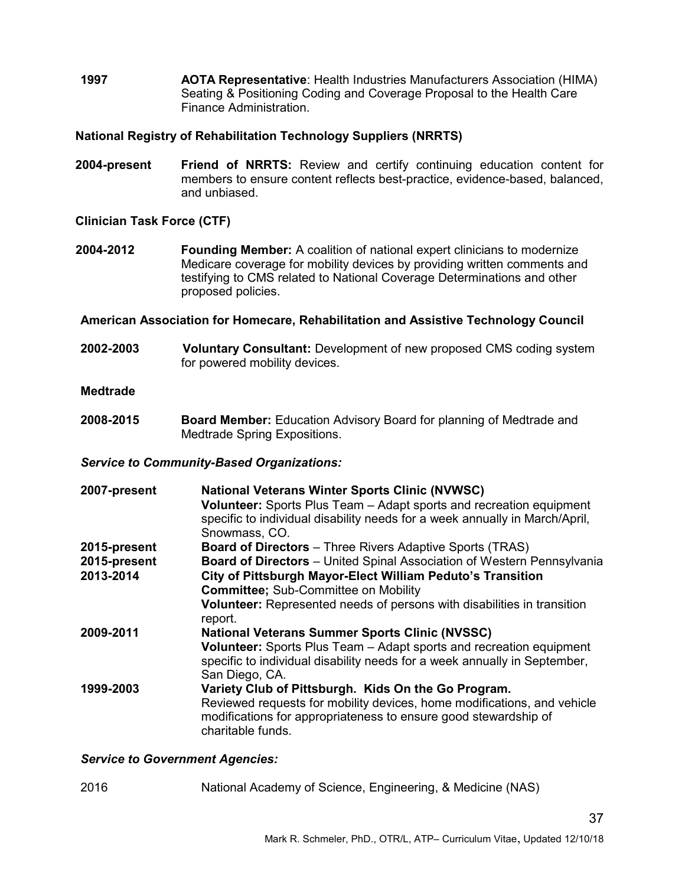1997 AOTA Representative: Health Industries Manufacturers Association (HIMA) Seating & Positioning Coding and Coverage Proposal to the Health Care Finance Administration.

## National Registry of Rehabilitation Technology Suppliers (NRRTS)

2004-present Friend of NRRTS: Review and certify continuing education content for members to ensure content reflects best-practice, evidence-based, balanced, and unbiased.

## Clinician Task Force (CTF)

2004-2012 Founding Member: A coalition of national expert clinicians to modernize Medicare coverage for mobility devices by providing written comments and testifying to CMS related to National Coverage Determinations and other proposed policies.

#### American Association for Homecare, Rehabilitation and Assistive Technology Council

2002-2003 Voluntary Consultant: Development of new proposed CMS coding system for powered mobility devices.

#### Medtrade

2008-2015 Board Member: Education Advisory Board for planning of Medtrade and Medtrade Spring Expositions.

#### Service to Community-Based Organizations:

| 2007-present | <b>National Veterans Winter Sports Clinic (NVWSC)</b><br>Volunteer: Sports Plus Team - Adapt sports and recreation equipment<br>specific to individual disability needs for a week annually in March/April,<br>Snowmass, CO. |
|--------------|------------------------------------------------------------------------------------------------------------------------------------------------------------------------------------------------------------------------------|
| 2015-present | <b>Board of Directors</b> – Three Rivers Adaptive Sports (TRAS)                                                                                                                                                              |
| 2015-present | Board of Directors - United Spinal Association of Western Pennsylvania                                                                                                                                                       |
| 2013-2014    | City of Pittsburgh Mayor-Elect William Peduto's Transition                                                                                                                                                                   |
|              | <b>Committee: Sub-Committee on Mobility</b>                                                                                                                                                                                  |
|              | Volunteer: Represented needs of persons with disabilities in transition<br>report.                                                                                                                                           |
| 2009-2011    | <b>National Veterans Summer Sports Clinic (NVSSC)</b>                                                                                                                                                                        |
|              | <b>Volunteer:</b> Sports Plus Team – Adapt sports and recreation equipment<br>specific to individual disability needs for a week annually in September,<br>San Diego, CA.                                                    |
| 1999-2003    | Variety Club of Pittsburgh. Kids On the Go Program.<br>Reviewed requests for mobility devices, home modifications, and vehicle<br>modifications for appropriateness to ensure good stewardship of<br>charitable funds.       |

#### Service to Government Agencies:

2016 National Academy of Science, Engineering, & Medicine (NAS)